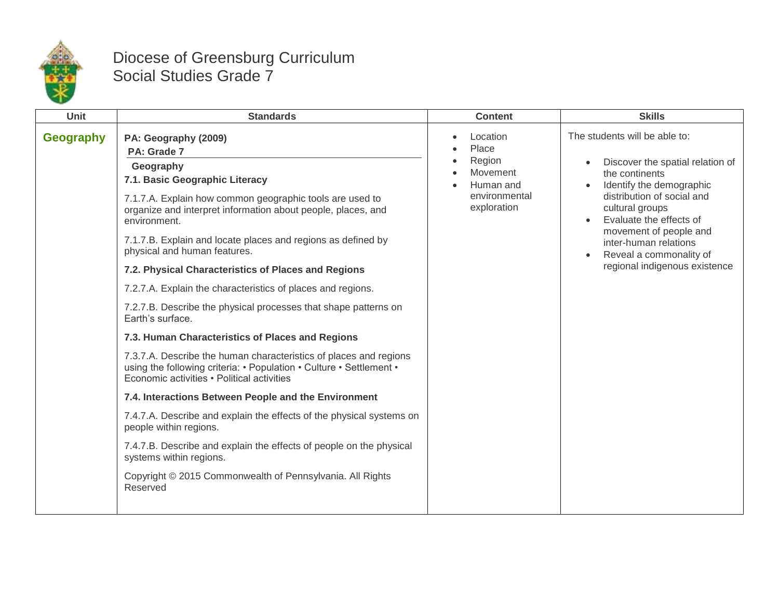

## Diocese of Greensburg Curriculum Social Studies Grade 7

| <b>Unit</b>      | <b>Standards</b>                                                                                                                                                                                                                                                                                                                                                                                                                                                                                                                                                                                                                                                                                                                                                                                                                                                                                                                                                                                                                                                                                                               | <b>Content</b>                                                                       | <b>Skills</b>                                                                                                                                                                                                                                                                                              |
|------------------|--------------------------------------------------------------------------------------------------------------------------------------------------------------------------------------------------------------------------------------------------------------------------------------------------------------------------------------------------------------------------------------------------------------------------------------------------------------------------------------------------------------------------------------------------------------------------------------------------------------------------------------------------------------------------------------------------------------------------------------------------------------------------------------------------------------------------------------------------------------------------------------------------------------------------------------------------------------------------------------------------------------------------------------------------------------------------------------------------------------------------------|--------------------------------------------------------------------------------------|------------------------------------------------------------------------------------------------------------------------------------------------------------------------------------------------------------------------------------------------------------------------------------------------------------|
| <b>Geography</b> | PA: Geography (2009)<br>PA: Grade 7<br>Geography<br>7.1. Basic Geographic Literacy<br>7.1.7.A. Explain how common geographic tools are used to<br>organize and interpret information about people, places, and<br>environment.<br>7.1.7.B. Explain and locate places and regions as defined by<br>physical and human features.<br>7.2. Physical Characteristics of Places and Regions<br>7.2.7.A. Explain the characteristics of places and regions.<br>7.2.7.B. Describe the physical processes that shape patterns on<br>Earth's surface.<br>7.3. Human Characteristics of Places and Regions<br>7.3.7.A. Describe the human characteristics of places and regions<br>using the following criteria: • Population • Culture • Settlement •<br>Economic activities • Political activities<br>7.4. Interactions Between People and the Environment<br>7.4.7.A. Describe and explain the effects of the physical systems on<br>people within regions.<br>7.4.7.B. Describe and explain the effects of people on the physical<br>systems within regions.<br>Copyright © 2015 Commonwealth of Pennsylvania. All Rights<br>Reserved | Location<br>Place<br>Region<br>Movement<br>Human and<br>environmental<br>exploration | The students will be able to:<br>Discover the spatial relation of<br>the continents<br>Identify the demographic<br>distribution of social and<br>cultural groups<br>Evaluate the effects of<br>movement of people and<br>inter-human relations<br>Reveal a commonality of<br>regional indigenous existence |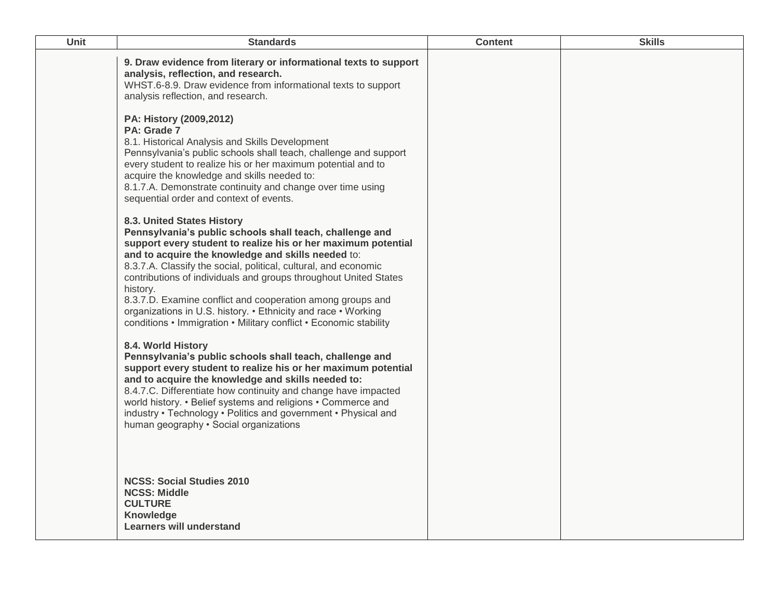| Unit | <b>Standards</b>                                                                                                                                                                                                                                                                                                                                                                                                                                                                                                                                                     | <b>Content</b> | <b>Skills</b> |
|------|----------------------------------------------------------------------------------------------------------------------------------------------------------------------------------------------------------------------------------------------------------------------------------------------------------------------------------------------------------------------------------------------------------------------------------------------------------------------------------------------------------------------------------------------------------------------|----------------|---------------|
|      | 9. Draw evidence from literary or informational texts to support<br>analysis, reflection, and research.<br>WHST.6-8.9. Draw evidence from informational texts to support<br>analysis reflection, and research.                                                                                                                                                                                                                                                                                                                                                       |                |               |
|      | PA: History (2009,2012)<br>PA: Grade 7<br>8.1. Historical Analysis and Skills Development<br>Pennsylvania's public schools shall teach, challenge and support<br>every student to realize his or her maximum potential and to<br>acquire the knowledge and skills needed to:<br>8.1.7.A. Demonstrate continuity and change over time using<br>sequential order and context of events.                                                                                                                                                                                |                |               |
|      | 8.3. United States History<br>Pennsylvania's public schools shall teach, challenge and<br>support every student to realize his or her maximum potential<br>and to acquire the knowledge and skills needed to:<br>8.3.7.A. Classify the social, political, cultural, and economic<br>contributions of individuals and groups throughout United States<br>history.<br>8.3.7.D. Examine conflict and cooperation among groups and<br>organizations in U.S. history. • Ethnicity and race • Working<br>conditions • Immigration • Military conflict • Economic stability |                |               |
|      | 8.4. World History<br>Pennsylvania's public schools shall teach, challenge and<br>support every student to realize his or her maximum potential<br>and to acquire the knowledge and skills needed to:<br>8.4.7.C. Differentiate how continuity and change have impacted<br>world history. • Belief systems and religions • Commerce and<br>industry • Technology • Politics and government • Physical and<br>human geography · Social organizations                                                                                                                  |                |               |
|      | <b>NCSS: Social Studies 2010</b><br><b>NCSS: Middle</b><br><b>CULTURE</b><br>Knowledge<br>Learners will understand                                                                                                                                                                                                                                                                                                                                                                                                                                                   |                |               |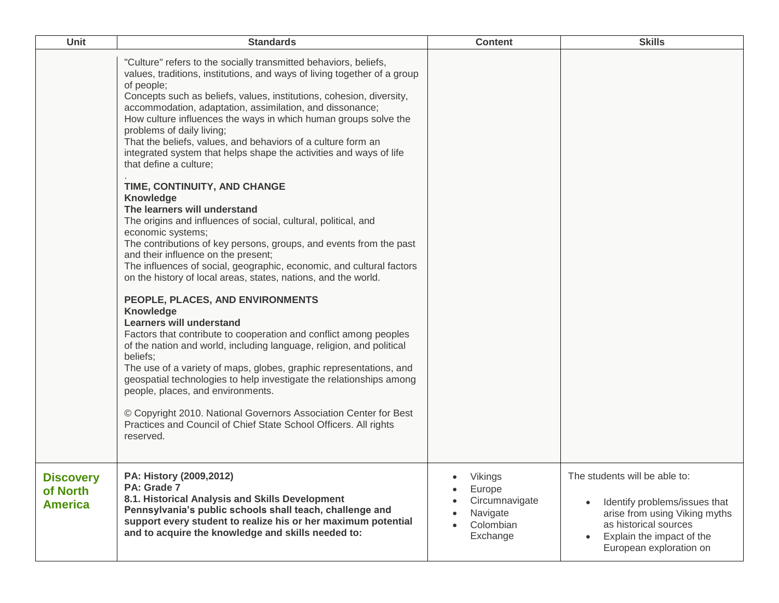| Unit                                           | <b>Standards</b>                                                                                                                                                                                                                                                                                                                                                                                                                                                                                                                                                                                                                                                                                                                                                                                                                                                                                                                                                                                                                                                                                                                                                                                                                                                                                             | <b>Content</b>                                                           | <b>Skills</b>                                                                                                                                                                    |
|------------------------------------------------|--------------------------------------------------------------------------------------------------------------------------------------------------------------------------------------------------------------------------------------------------------------------------------------------------------------------------------------------------------------------------------------------------------------------------------------------------------------------------------------------------------------------------------------------------------------------------------------------------------------------------------------------------------------------------------------------------------------------------------------------------------------------------------------------------------------------------------------------------------------------------------------------------------------------------------------------------------------------------------------------------------------------------------------------------------------------------------------------------------------------------------------------------------------------------------------------------------------------------------------------------------------------------------------------------------------|--------------------------------------------------------------------------|----------------------------------------------------------------------------------------------------------------------------------------------------------------------------------|
|                                                | "Culture" refers to the socially transmitted behaviors, beliefs,<br>values, traditions, institutions, and ways of living together of a group<br>of people;<br>Concepts such as beliefs, values, institutions, cohesion, diversity,<br>accommodation, adaptation, assimilation, and dissonance;<br>How culture influences the ways in which human groups solve the<br>problems of daily living;<br>That the beliefs, values, and behaviors of a culture form an<br>integrated system that helps shape the activities and ways of life<br>that define a culture;<br>TIME, CONTINUITY, AND CHANGE<br>Knowledge<br>The learners will understand<br>The origins and influences of social, cultural, political, and<br>economic systems;<br>The contributions of key persons, groups, and events from the past<br>and their influence on the present;<br>The influences of social, geographic, economic, and cultural factors<br>on the history of local areas, states, nations, and the world.<br>PEOPLE, PLACES, AND ENVIRONMENTS<br>Knowledge<br><b>Learners will understand</b><br>Factors that contribute to cooperation and conflict among peoples<br>of the nation and world, including language, religion, and political<br>beliefs;<br>The use of a variety of maps, globes, graphic representations, and |                                                                          |                                                                                                                                                                                  |
|                                                | geospatial technologies to help investigate the relationships among<br>people, places, and environments.<br>© Copyright 2010. National Governors Association Center for Best<br>Practices and Council of Chief State School Officers. All rights<br>reserved.                                                                                                                                                                                                                                                                                                                                                                                                                                                                                                                                                                                                                                                                                                                                                                                                                                                                                                                                                                                                                                                |                                                                          |                                                                                                                                                                                  |
| <b>Discovery</b><br>of North<br><b>America</b> | PA: History (2009,2012)<br>PA: Grade 7<br>8.1. Historical Analysis and Skills Development<br>Pennsylvania's public schools shall teach, challenge and<br>support every student to realize his or her maximum potential<br>and to acquire the knowledge and skills needed to:                                                                                                                                                                                                                                                                                                                                                                                                                                                                                                                                                                                                                                                                                                                                                                                                                                                                                                                                                                                                                                 | Vikings<br>Europe<br>Circumnavigate<br>Navigate<br>Colombian<br>Exchange | The students will be able to:<br>Identify problems/issues that<br>arise from using Viking myths<br>as historical sources<br>Explain the impact of the<br>European exploration on |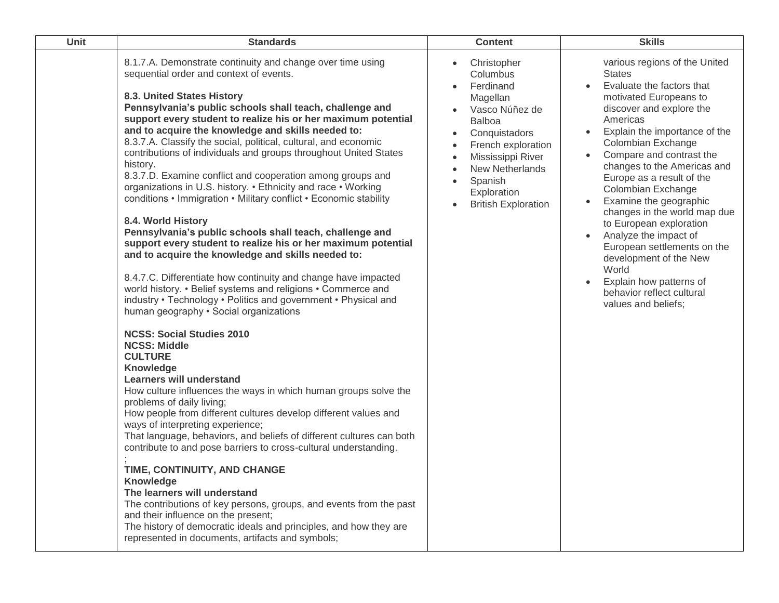| Unit | <b>Standards</b>                                                                                                                                                                                                                                                                                                                                                                                                                                                                                                                                                                                                                                                                                                                                                                                                                                                                                                                                                                                                                                                                                                                                                                                                                                                                                                                                                                                                                                                                                                                                                                                                                                                                                                                                                                                                                                                                                                                        | <b>Content</b>                                                                                                                                                                                                                                                                        | <b>Skills</b>                                                                                                                                                                                                                                                                                                                                                                                                                                                                                                                                                                                                   |
|------|-----------------------------------------------------------------------------------------------------------------------------------------------------------------------------------------------------------------------------------------------------------------------------------------------------------------------------------------------------------------------------------------------------------------------------------------------------------------------------------------------------------------------------------------------------------------------------------------------------------------------------------------------------------------------------------------------------------------------------------------------------------------------------------------------------------------------------------------------------------------------------------------------------------------------------------------------------------------------------------------------------------------------------------------------------------------------------------------------------------------------------------------------------------------------------------------------------------------------------------------------------------------------------------------------------------------------------------------------------------------------------------------------------------------------------------------------------------------------------------------------------------------------------------------------------------------------------------------------------------------------------------------------------------------------------------------------------------------------------------------------------------------------------------------------------------------------------------------------------------------------------------------------------------------------------------------|---------------------------------------------------------------------------------------------------------------------------------------------------------------------------------------------------------------------------------------------------------------------------------------|-----------------------------------------------------------------------------------------------------------------------------------------------------------------------------------------------------------------------------------------------------------------------------------------------------------------------------------------------------------------------------------------------------------------------------------------------------------------------------------------------------------------------------------------------------------------------------------------------------------------|
|      | 8.1.7.A. Demonstrate continuity and change over time using<br>sequential order and context of events.<br>8.3. United States History<br>Pennsylvania's public schools shall teach, challenge and<br>support every student to realize his or her maximum potential<br>and to acquire the knowledge and skills needed to:<br>8.3.7.A. Classify the social, political, cultural, and economic<br>contributions of individuals and groups throughout United States<br>history.<br>8.3.7.D. Examine conflict and cooperation among groups and<br>organizations in U.S. history. • Ethnicity and race • Working<br>conditions • Immigration • Military conflict • Economic stability<br>8.4. World History<br>Pennsylvania's public schools shall teach, challenge and<br>support every student to realize his or her maximum potential<br>and to acquire the knowledge and skills needed to:<br>8.4.7.C. Differentiate how continuity and change have impacted<br>world history. • Belief systems and religions • Commerce and<br>industry • Technology • Politics and government • Physical and<br>human geography · Social organizations<br><b>NCSS: Social Studies 2010</b><br><b>NCSS: Middle</b><br><b>CULTURE</b><br>Knowledge<br><b>Learners will understand</b><br>How culture influences the ways in which human groups solve the<br>problems of daily living;<br>How people from different cultures develop different values and<br>ways of interpreting experience;<br>That language, behaviors, and beliefs of different cultures can both<br>contribute to and pose barriers to cross-cultural understanding.<br>TIME, CONTINUITY, AND CHANGE<br>Knowledge<br>The learners will understand<br>The contributions of key persons, groups, and events from the past<br>and their influence on the present;<br>The history of democratic ideals and principles, and how they are<br>represented in documents, artifacts and symbols; | Christopher<br>$\bullet$<br>Columbus<br>Ferdinand<br>Magellan<br>Vasco Núñez de<br><b>Balboa</b><br>Conquistadors<br>$\bullet$<br>French exploration<br>Mississippi River<br>$\bullet$<br><b>New Netherlands</b><br>Spanish<br>$\bullet$<br>Exploration<br><b>British Exploration</b> | various regions of the United<br><b>States</b><br>Evaluate the factors that<br>$\bullet$<br>motivated Europeans to<br>discover and explore the<br>Americas<br>• Explain the importance of the<br>Colombian Exchange<br>• Compare and contrast the<br>changes to the Americas and<br>Europe as a result of the<br>Colombian Exchange<br>Examine the geographic<br>changes in the world map due<br>to European exploration<br>Analyze the impact of<br>$\bullet$<br>European settlements on the<br>development of the New<br>World<br>Explain how patterns of<br>behavior reflect cultural<br>values and beliefs; |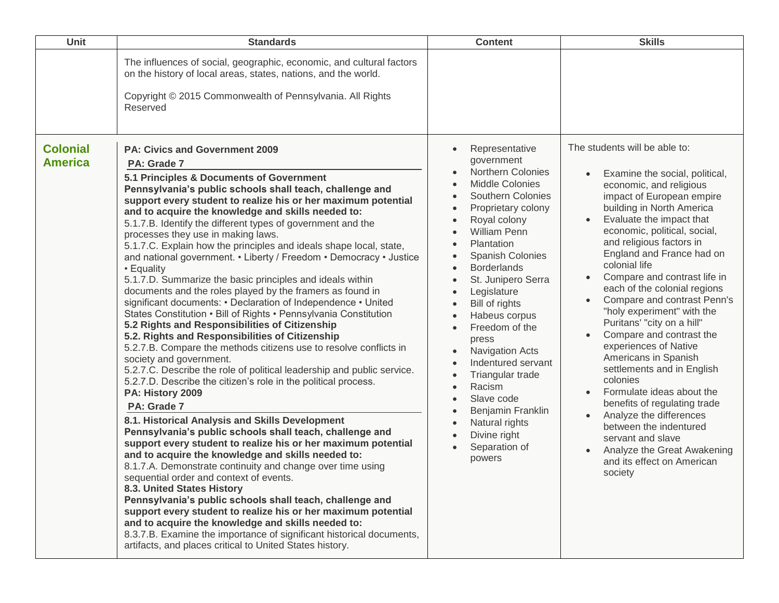| Unit                              | <b>Standards</b>                                                                                                                                                                                                                                                                                                                                                                                                                                                                                                                                                                                                                                                                                                                                                                                                                                                                                                                                                                                                                                                                                                                                                                                                                                                                                                                                                                                                                                                                                                                                                                                                                                                                                                                                                                                                                                                                                          | <b>Content</b>                                                                                                                                                                                                                                                                                                                                                                                                                                                                                                                                                                                                                                                                                                                                                                                                           | <b>Skills</b>                                                                                                                                                                                                                                                                                                                                                                                                                                                                                                                                                                                                                                                                                                                                                                               |
|-----------------------------------|-----------------------------------------------------------------------------------------------------------------------------------------------------------------------------------------------------------------------------------------------------------------------------------------------------------------------------------------------------------------------------------------------------------------------------------------------------------------------------------------------------------------------------------------------------------------------------------------------------------------------------------------------------------------------------------------------------------------------------------------------------------------------------------------------------------------------------------------------------------------------------------------------------------------------------------------------------------------------------------------------------------------------------------------------------------------------------------------------------------------------------------------------------------------------------------------------------------------------------------------------------------------------------------------------------------------------------------------------------------------------------------------------------------------------------------------------------------------------------------------------------------------------------------------------------------------------------------------------------------------------------------------------------------------------------------------------------------------------------------------------------------------------------------------------------------------------------------------------------------------------------------------------------------|--------------------------------------------------------------------------------------------------------------------------------------------------------------------------------------------------------------------------------------------------------------------------------------------------------------------------------------------------------------------------------------------------------------------------------------------------------------------------------------------------------------------------------------------------------------------------------------------------------------------------------------------------------------------------------------------------------------------------------------------------------------------------------------------------------------------------|---------------------------------------------------------------------------------------------------------------------------------------------------------------------------------------------------------------------------------------------------------------------------------------------------------------------------------------------------------------------------------------------------------------------------------------------------------------------------------------------------------------------------------------------------------------------------------------------------------------------------------------------------------------------------------------------------------------------------------------------------------------------------------------------|
|                                   | The influences of social, geographic, economic, and cultural factors<br>on the history of local areas, states, nations, and the world.<br>Copyright © 2015 Commonwealth of Pennsylvania. All Rights<br>Reserved                                                                                                                                                                                                                                                                                                                                                                                                                                                                                                                                                                                                                                                                                                                                                                                                                                                                                                                                                                                                                                                                                                                                                                                                                                                                                                                                                                                                                                                                                                                                                                                                                                                                                           |                                                                                                                                                                                                                                                                                                                                                                                                                                                                                                                                                                                                                                                                                                                                                                                                                          |                                                                                                                                                                                                                                                                                                                                                                                                                                                                                                                                                                                                                                                                                                                                                                                             |
| <b>Colonial</b><br><b>America</b> | <b>PA: Civics and Government 2009</b><br>PA: Grade 7<br>5.1 Principles & Documents of Government<br>Pennsylvania's public schools shall teach, challenge and<br>support every student to realize his or her maximum potential<br>and to acquire the knowledge and skills needed to:<br>5.1.7.B. Identify the different types of government and the<br>processes they use in making laws.<br>5.1.7.C. Explain how the principles and ideals shape local, state,<br>and national government. • Liberty / Freedom • Democracy • Justice<br>• Equality<br>5.1.7.D. Summarize the basic principles and ideals within<br>documents and the roles played by the framers as found in<br>significant documents: • Declaration of Independence • United<br>States Constitution • Bill of Rights • Pennsylvania Constitution<br>5.2 Rights and Responsibilities of Citizenship<br>5.2. Rights and Responsibilities of Citizenship<br>5.2.7.B. Compare the methods citizens use to resolve conflicts in<br>society and government.<br>5.2.7.C. Describe the role of political leadership and public service.<br>5.2.7.D. Describe the citizen's role in the political process.<br>PA: History 2009<br>PA: Grade 7<br>8.1. Historical Analysis and Skills Development<br>Pennsylvania's public schools shall teach, challenge and<br>support every student to realize his or her maximum potential<br>and to acquire the knowledge and skills needed to:<br>8.1.7.A. Demonstrate continuity and change over time using<br>sequential order and context of events.<br>8.3. United States History<br>Pennsylvania's public schools shall teach, challenge and<br>support every student to realize his or her maximum potential<br>and to acquire the knowledge and skills needed to:<br>8.3.7.B. Examine the importance of significant historical documents,<br>artifacts, and places critical to United States history. | Representative<br>$\bullet$<br>government<br><b>Northern Colonies</b><br>$\bullet$<br><b>Middle Colonies</b><br>$\bullet$<br>Southern Colonies<br>$\bullet$<br>Proprietary colony<br>$\bullet$<br>Royal colony<br>$\bullet$<br><b>William Penn</b><br>$\bullet$<br>Plantation<br>$\bullet$<br>Spanish Colonies<br>$\bullet$<br><b>Borderlands</b><br>$\bullet$<br>St. Junipero Serra<br>$\bullet$<br>Legislature<br>$\bullet$<br>Bill of rights<br>$\bullet$<br>Habeus corpus<br>$\bullet$<br>Freedom of the<br>$\bullet$<br>press<br><b>Navigation Acts</b><br>$\bullet$<br>Indentured servant<br>$\bullet$<br>Triangular trade<br>$\bullet$<br>Racism<br>$\bullet$<br>Slave code<br>$\bullet$<br>Benjamin Franklin<br>$\bullet$<br>Natural rights<br>$\bullet$<br>Divine right<br>$\bullet$<br>Separation of<br>powers | The students will be able to:<br>Examine the social, political,<br>economic, and religious<br>impact of European empire<br>building in North America<br>Evaluate the impact that<br>economic, political, social,<br>and religious factors in<br>England and France had on<br>colonial life<br>Compare and contrast life in<br>each of the colonial regions<br>Compare and contrast Penn's<br>"holy experiment" with the<br>Puritans' "city on a hill"<br>Compare and contrast the<br>experiences of Native<br>Americans in Spanish<br>settlements and in English<br>colonies<br>Formulate ideas about the<br>benefits of regulating trade<br>Analyze the differences<br>between the indentured<br>servant and slave<br>Analyze the Great Awakening<br>and its effect on American<br>society |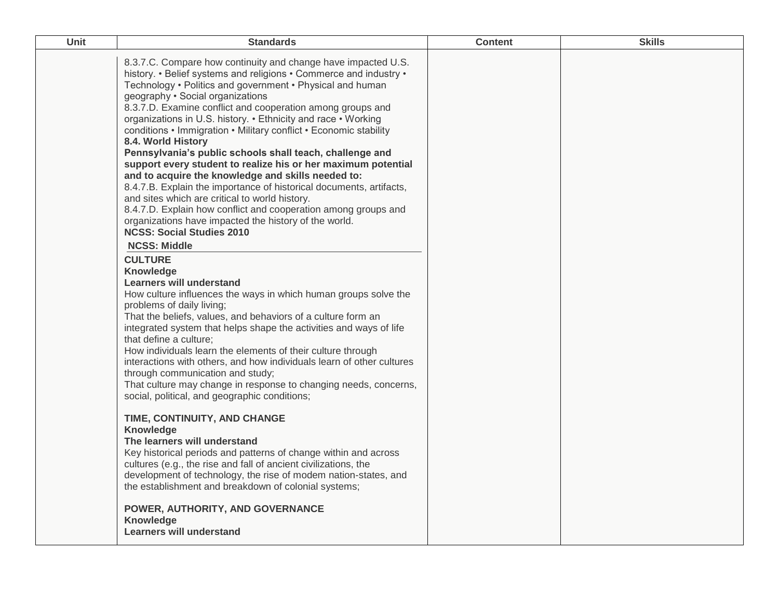| Unit | <b>Standards</b>                                                                                                                                                                                                                                                                                                                                                                                                                                                                                                                                                                                                                                                                                                                                                                                                                                                                                                                         | <b>Content</b> | <b>Skills</b> |
|------|------------------------------------------------------------------------------------------------------------------------------------------------------------------------------------------------------------------------------------------------------------------------------------------------------------------------------------------------------------------------------------------------------------------------------------------------------------------------------------------------------------------------------------------------------------------------------------------------------------------------------------------------------------------------------------------------------------------------------------------------------------------------------------------------------------------------------------------------------------------------------------------------------------------------------------------|----------------|---------------|
|      | 8.3.7.C. Compare how continuity and change have impacted U.S.<br>history. • Belief systems and religions • Commerce and industry •<br>Technology • Politics and government • Physical and human<br>geography . Social organizations<br>8.3.7.D. Examine conflict and cooperation among groups and<br>organizations in U.S. history. • Ethnicity and race • Working<br>conditions • Immigration • Military conflict • Economic stability<br>8.4. World History<br>Pennsylvania's public schools shall teach, challenge and<br>support every student to realize his or her maximum potential<br>and to acquire the knowledge and skills needed to:<br>8.4.7.B. Explain the importance of historical documents, artifacts,<br>and sites which are critical to world history.<br>8.4.7.D. Explain how conflict and cooperation among groups and<br>organizations have impacted the history of the world.<br><b>NCSS: Social Studies 2010</b> |                |               |
|      | <b>NCSS: Middle</b><br><b>CULTURE</b><br>Knowledge<br>Learners will understand<br>How culture influences the ways in which human groups solve the<br>problems of daily living;<br>That the beliefs, values, and behaviors of a culture form an<br>integrated system that helps shape the activities and ways of life<br>that define a culture;<br>How individuals learn the elements of their culture through<br>interactions with others, and how individuals learn of other cultures<br>through communication and study;<br>That culture may change in response to changing needs, concerns,<br>social, political, and geographic conditions;                                                                                                                                                                                                                                                                                          |                |               |
|      | TIME, CONTINUITY, AND CHANGE<br>Knowledge<br>The learners will understand<br>Key historical periods and patterns of change within and across<br>cultures (e.g., the rise and fall of ancient civilizations, the<br>development of technology, the rise of modem nation-states, and<br>the establishment and breakdown of colonial systems;<br>POWER, AUTHORITY, AND GOVERNANCE<br>Knowledge<br><b>Learners will understand</b>                                                                                                                                                                                                                                                                                                                                                                                                                                                                                                           |                |               |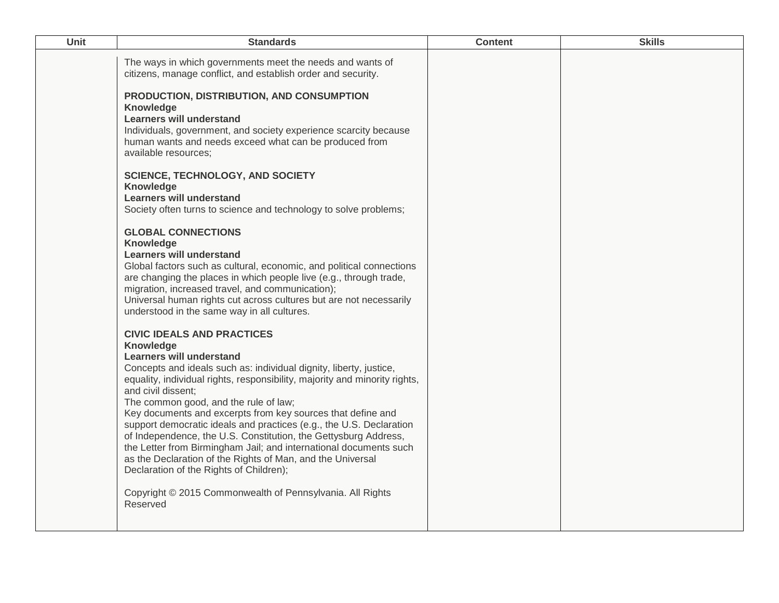| <b>Unit</b> | <b>Standards</b>                                                                                                                                                                                                                                                                                                                                                                                                                                                                                                                                                                                                                                                                                                                                                     | <b>Content</b> | <b>Skills</b> |
|-------------|----------------------------------------------------------------------------------------------------------------------------------------------------------------------------------------------------------------------------------------------------------------------------------------------------------------------------------------------------------------------------------------------------------------------------------------------------------------------------------------------------------------------------------------------------------------------------------------------------------------------------------------------------------------------------------------------------------------------------------------------------------------------|----------------|---------------|
|             | The ways in which governments meet the needs and wants of<br>citizens, manage conflict, and establish order and security.                                                                                                                                                                                                                                                                                                                                                                                                                                                                                                                                                                                                                                            |                |               |
|             | PRODUCTION, DISTRIBUTION, AND CONSUMPTION<br>Knowledge<br><b>Learners will understand</b><br>Individuals, government, and society experience scarcity because<br>human wants and needs exceed what can be produced from<br>available resources;                                                                                                                                                                                                                                                                                                                                                                                                                                                                                                                      |                |               |
|             | <b>SCIENCE, TECHNOLOGY, AND SOCIETY</b><br>Knowledge<br><b>Learners will understand</b><br>Society often turns to science and technology to solve problems;                                                                                                                                                                                                                                                                                                                                                                                                                                                                                                                                                                                                          |                |               |
|             | <b>GLOBAL CONNECTIONS</b><br>Knowledge<br><b>Learners will understand</b><br>Global factors such as cultural, economic, and political connections<br>are changing the places in which people live (e.g., through trade,<br>migration, increased travel, and communication);<br>Universal human rights cut across cultures but are not necessarily<br>understood in the same way in all cultures.                                                                                                                                                                                                                                                                                                                                                                     |                |               |
|             | <b>CIVIC IDEALS AND PRACTICES</b><br>Knowledge<br><b>Learners will understand</b><br>Concepts and ideals such as: individual dignity, liberty, justice,<br>equality, individual rights, responsibility, majority and minority rights,<br>and civil dissent;<br>The common good, and the rule of law;<br>Key documents and excerpts from key sources that define and<br>support democratic ideals and practices (e.g., the U.S. Declaration<br>of Independence, the U.S. Constitution, the Gettysburg Address,<br>the Letter from Birmingham Jail; and international documents such<br>as the Declaration of the Rights of Man, and the Universal<br>Declaration of the Rights of Children);<br>Copyright © 2015 Commonwealth of Pennsylvania. All Rights<br>Reserved |                |               |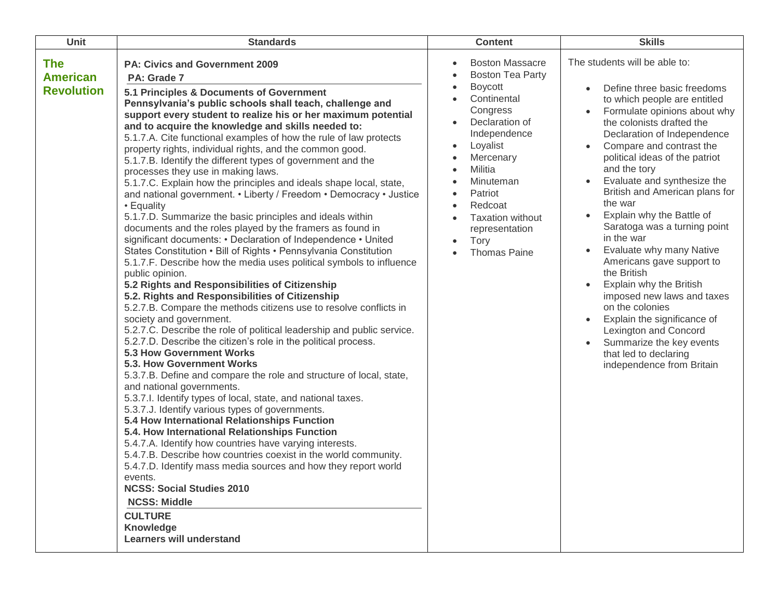| <b>Unit</b>                                        | <b>Standards</b>                                                                                                                                                                                                                                                                                                                                                                                                                                                                                                                                                                                                                                                                                                                                                                                                                                                                                                                                                                                                                                                                                                                                                                                                                                                                                                                                                                                                                                                                                                                                                                                                                                                                                                                                                                                                                                                                                                                                                                                                                                                                                                                     | <b>Content</b>                                                                                                                                                                                                                                                                      | <b>Skills</b>                                                                                                                                                                                                                                                                                                                                                                                                                                                                                                                                                                                                                                                                                                                                                      |
|----------------------------------------------------|--------------------------------------------------------------------------------------------------------------------------------------------------------------------------------------------------------------------------------------------------------------------------------------------------------------------------------------------------------------------------------------------------------------------------------------------------------------------------------------------------------------------------------------------------------------------------------------------------------------------------------------------------------------------------------------------------------------------------------------------------------------------------------------------------------------------------------------------------------------------------------------------------------------------------------------------------------------------------------------------------------------------------------------------------------------------------------------------------------------------------------------------------------------------------------------------------------------------------------------------------------------------------------------------------------------------------------------------------------------------------------------------------------------------------------------------------------------------------------------------------------------------------------------------------------------------------------------------------------------------------------------------------------------------------------------------------------------------------------------------------------------------------------------------------------------------------------------------------------------------------------------------------------------------------------------------------------------------------------------------------------------------------------------------------------------------------------------------------------------------------------------|-------------------------------------------------------------------------------------------------------------------------------------------------------------------------------------------------------------------------------------------------------------------------------------|--------------------------------------------------------------------------------------------------------------------------------------------------------------------------------------------------------------------------------------------------------------------------------------------------------------------------------------------------------------------------------------------------------------------------------------------------------------------------------------------------------------------------------------------------------------------------------------------------------------------------------------------------------------------------------------------------------------------------------------------------------------------|
| <b>The</b><br><b>American</b><br><b>Revolution</b> | <b>PA: Civics and Government 2009</b><br>PA: Grade 7<br>5.1 Principles & Documents of Government<br>Pennsylvania's public schools shall teach, challenge and<br>support every student to realize his or her maximum potential<br>and to acquire the knowledge and skills needed to:<br>5.1.7.A. Cite functional examples of how the rule of law protects<br>property rights, individual rights, and the common good.<br>5.1.7.B. Identify the different types of government and the<br>processes they use in making laws.<br>5.1.7.C. Explain how the principles and ideals shape local, state,<br>and national government. • Liberty / Freedom • Democracy • Justice<br>• Equality<br>5.1.7.D. Summarize the basic principles and ideals within<br>documents and the roles played by the framers as found in<br>significant documents: • Declaration of Independence • United<br>States Constitution • Bill of Rights • Pennsylvania Constitution<br>5.1.7.F. Describe how the media uses political symbols to influence<br>public opinion.<br>5.2 Rights and Responsibilities of Citizenship<br>5.2. Rights and Responsibilities of Citizenship<br>5.2.7.B. Compare the methods citizens use to resolve conflicts in<br>society and government.<br>5.2.7.C. Describe the role of political leadership and public service.<br>5.2.7.D. Describe the citizen's role in the political process.<br><b>5.3 How Government Works</b><br>5.3. How Government Works<br>5.3.7.B. Define and compare the role and structure of local, state,<br>and national governments.<br>5.3.7.I. Identify types of local, state, and national taxes.<br>5.3.7.J. Identify various types of governments.<br>5.4 How International Relationships Function<br>5.4. How International Relationships Function<br>5.4.7.A. Identify how countries have varying interests.<br>5.4.7.B. Describe how countries coexist in the world community.<br>5.4.7.D. Identify mass media sources and how they report world<br>events.<br><b>NCSS: Social Studies 2010</b><br><b>NCSS: Middle</b><br><b>CULTURE</b><br><b>Knowledge</b><br><b>Learners will understand</b> | <b>Boston Massacre</b><br><b>Boston Tea Party</b><br><b>Boycott</b><br>Continental<br>Congress<br>Declaration of<br>Independence<br>Loyalist<br>Mercenary<br>Militia<br>Minuteman<br>Patriot<br>Redcoat<br><b>Taxation without</b><br>representation<br>Tory<br><b>Thomas Paine</b> | The students will be able to:<br>Define three basic freedoms<br>to which people are entitled<br>Formulate opinions about why<br>the colonists drafted the<br>Declaration of Independence<br>Compare and contrast the<br>political ideas of the patriot<br>and the tory<br>Evaluate and synthesize the<br>$\bullet$<br>British and American plans for<br>the war<br>Explain why the Battle of<br>$\bullet$<br>Saratoga was a turning point<br>in the war<br>Evaluate why many Native<br>$\bullet$<br>Americans gave support to<br>the British<br>Explain why the British<br>imposed new laws and taxes<br>on the colonies<br>Explain the significance of<br>Lexington and Concord<br>Summarize the key events<br>that led to declaring<br>independence from Britain |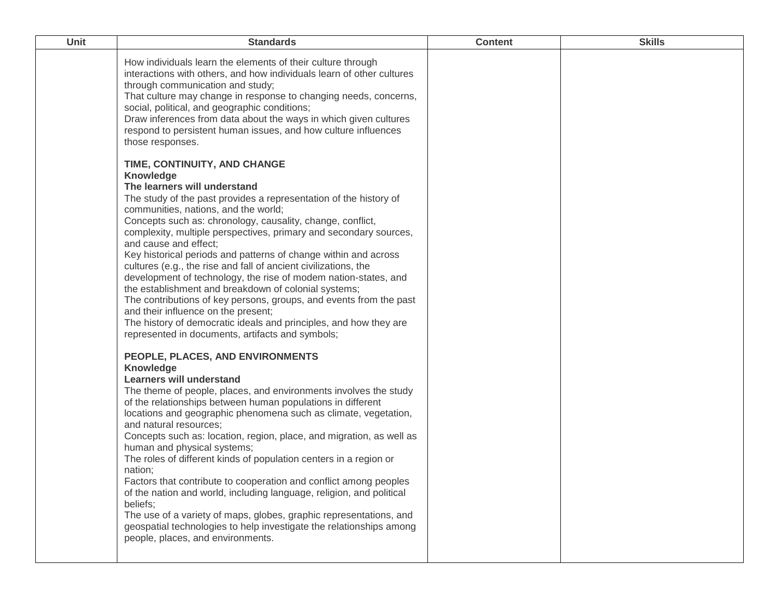| <b>Unit</b> | <b>Standards</b>                                                                                                                                                                                                                                                                                                                                                                                                                                                                                                                                                                                                                                                                                                                                                                                                                                                                                                                                                                                                                                                                                                                                                                                                                                                                                                     | <b>Content</b> | <b>Skills</b> |
|-------------|----------------------------------------------------------------------------------------------------------------------------------------------------------------------------------------------------------------------------------------------------------------------------------------------------------------------------------------------------------------------------------------------------------------------------------------------------------------------------------------------------------------------------------------------------------------------------------------------------------------------------------------------------------------------------------------------------------------------------------------------------------------------------------------------------------------------------------------------------------------------------------------------------------------------------------------------------------------------------------------------------------------------------------------------------------------------------------------------------------------------------------------------------------------------------------------------------------------------------------------------------------------------------------------------------------------------|----------------|---------------|
|             | How individuals learn the elements of their culture through<br>interactions with others, and how individuals learn of other cultures<br>through communication and study;<br>That culture may change in response to changing needs, concerns,<br>social, political, and geographic conditions;<br>Draw inferences from data about the ways in which given cultures<br>respond to persistent human issues, and how culture influences<br>those responses.<br>TIME, CONTINUITY, AND CHANGE<br>Knowledge<br>The learners will understand<br>The study of the past provides a representation of the history of<br>communities, nations, and the world;<br>Concepts such as: chronology, causality, change, conflict,<br>complexity, multiple perspectives, primary and secondary sources,<br>and cause and effect;<br>Key historical periods and patterns of change within and across<br>cultures (e.g., the rise and fall of ancient civilizations, the<br>development of technology, the rise of modem nation-states, and<br>the establishment and breakdown of colonial systems;<br>The contributions of key persons, groups, and events from the past<br>and their influence on the present;<br>The history of democratic ideals and principles, and how they are<br>represented in documents, artifacts and symbols; |                |               |
|             | PEOPLE, PLACES, AND ENVIRONMENTS<br>Knowledge<br><b>Learners will understand</b><br>The theme of people, places, and environments involves the study<br>of the relationships between human populations in different<br>locations and geographic phenomena such as climate, vegetation,<br>and natural resources;<br>Concepts such as: location, region, place, and migration, as well as<br>human and physical systems;<br>The roles of different kinds of population centers in a region or<br>nation;<br>Factors that contribute to cooperation and conflict among peoples<br>of the nation and world, including language, religion, and political<br>beliefs;<br>The use of a variety of maps, globes, graphic representations, and<br>geospatial technologies to help investigate the relationships among<br>people, places, and environments.                                                                                                                                                                                                                                                                                                                                                                                                                                                                   |                |               |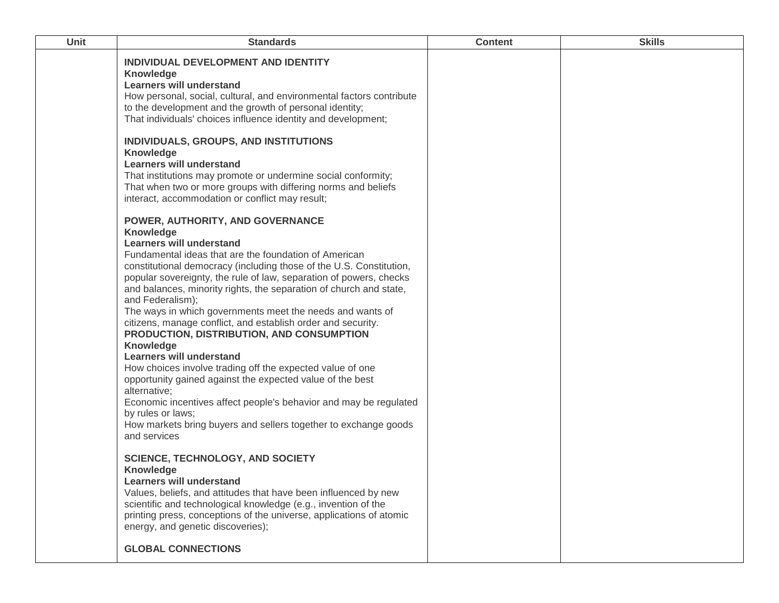| Unit | <b>Standards</b>                                                                                                                                                                                                                                                                                                                                                                                                                                                                                                                                                                                                                                                                                                                                                                                                                                                                                                                                                                                                                                                                                                                                                                                                                                                                                                                                                                                                                                                                                                                                                                                                                                                                                                                                                                                                                                                                                                       | <b>Content</b> | <b>Skills</b> |
|------|------------------------------------------------------------------------------------------------------------------------------------------------------------------------------------------------------------------------------------------------------------------------------------------------------------------------------------------------------------------------------------------------------------------------------------------------------------------------------------------------------------------------------------------------------------------------------------------------------------------------------------------------------------------------------------------------------------------------------------------------------------------------------------------------------------------------------------------------------------------------------------------------------------------------------------------------------------------------------------------------------------------------------------------------------------------------------------------------------------------------------------------------------------------------------------------------------------------------------------------------------------------------------------------------------------------------------------------------------------------------------------------------------------------------------------------------------------------------------------------------------------------------------------------------------------------------------------------------------------------------------------------------------------------------------------------------------------------------------------------------------------------------------------------------------------------------------------------------------------------------------------------------------------------------|----------------|---------------|
|      | INDIVIDUAL DEVELOPMENT AND IDENTITY<br><b>Knowledge</b><br><b>Learners will understand</b><br>How personal, social, cultural, and environmental factors contribute<br>to the development and the growth of personal identity;<br>That individuals' choices influence identity and development;<br>INDIVIDUALS, GROUPS, AND INSTITUTIONS<br><b>Knowledge</b><br><b>Learners will understand</b><br>That institutions may promote or undermine social conformity;<br>That when two or more groups with differing norms and beliefs<br>interact, accommodation or conflict may result;<br>POWER, AUTHORITY, AND GOVERNANCE<br><b>Knowledge</b><br><b>Learners will understand</b><br>Fundamental ideas that are the foundation of American<br>constitutional democracy (including those of the U.S. Constitution,<br>popular sovereignty, the rule of law, separation of powers, checks<br>and balances, minority rights, the separation of church and state,<br>and Federalism);<br>The ways in which governments meet the needs and wants of<br>citizens, manage conflict, and establish order and security.<br>PRODUCTION, DISTRIBUTION, AND CONSUMPTION<br><b>Knowledge</b><br><b>Learners will understand</b><br>How choices involve trading off the expected value of one<br>opportunity gained against the expected value of the best<br>alternative;<br>Economic incentives affect people's behavior and may be regulated<br>by rules or laws;<br>How markets bring buyers and sellers together to exchange goods<br>and services<br><b>SCIENCE, TECHNOLOGY, AND SOCIETY</b><br><b>Knowledge</b><br><b>Learners will understand</b><br>Values, beliefs, and attitudes that have been influenced by new<br>scientific and technological knowledge (e.g., invention of the<br>printing press, conceptions of the universe, applications of atomic<br>energy, and genetic discoveries);<br><b>GLOBAL CONNECTIONS</b> |                |               |
|      |                                                                                                                                                                                                                                                                                                                                                                                                                                                                                                                                                                                                                                                                                                                                                                                                                                                                                                                                                                                                                                                                                                                                                                                                                                                                                                                                                                                                                                                                                                                                                                                                                                                                                                                                                                                                                                                                                                                        |                |               |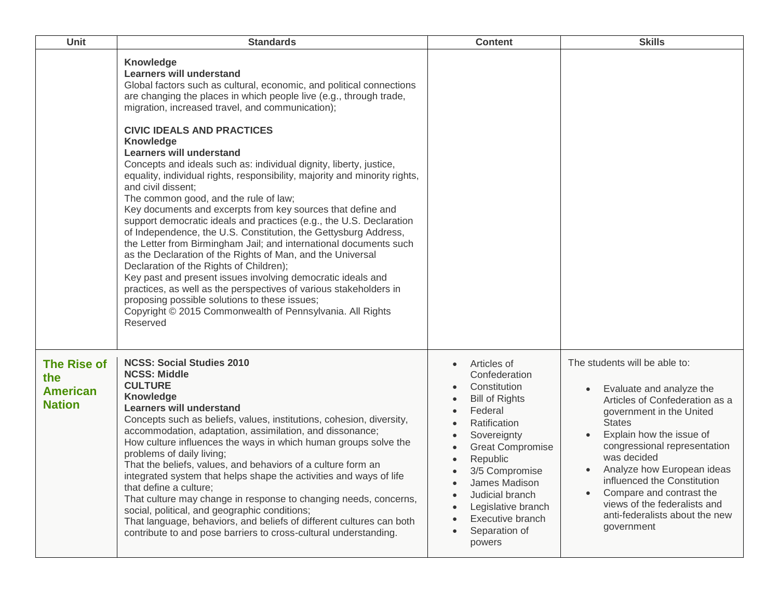| Unit                                                          | <b>Standards</b>                                                                                                                                                                                                                                                                                                                                                                                                                                                                                                                                                                                                                                                                                                                                                                                                                                                                                                                                                                                                                                                                                                                                                                                            | <b>Content</b>                                                                                                                                                                                                                                                                    | <b>Skills</b>                                                                                                                                                                                                                                                                                                                                                                                             |
|---------------------------------------------------------------|-------------------------------------------------------------------------------------------------------------------------------------------------------------------------------------------------------------------------------------------------------------------------------------------------------------------------------------------------------------------------------------------------------------------------------------------------------------------------------------------------------------------------------------------------------------------------------------------------------------------------------------------------------------------------------------------------------------------------------------------------------------------------------------------------------------------------------------------------------------------------------------------------------------------------------------------------------------------------------------------------------------------------------------------------------------------------------------------------------------------------------------------------------------------------------------------------------------|-----------------------------------------------------------------------------------------------------------------------------------------------------------------------------------------------------------------------------------------------------------------------------------|-----------------------------------------------------------------------------------------------------------------------------------------------------------------------------------------------------------------------------------------------------------------------------------------------------------------------------------------------------------------------------------------------------------|
|                                                               | Knowledge<br><b>Learners will understand</b><br>Global factors such as cultural, economic, and political connections<br>are changing the places in which people live (e.g., through trade,<br>migration, increased travel, and communication);<br><b>CIVIC IDEALS AND PRACTICES</b><br>Knowledge<br><b>Learners will understand</b><br>Concepts and ideals such as: individual dignity, liberty, justice,<br>equality, individual rights, responsibility, majority and minority rights,<br>and civil dissent:<br>The common good, and the rule of law;<br>Key documents and excerpts from key sources that define and<br>support democratic ideals and practices (e.g., the U.S. Declaration<br>of Independence, the U.S. Constitution, the Gettysburg Address,<br>the Letter from Birmingham Jail; and international documents such<br>as the Declaration of the Rights of Man, and the Universal<br>Declaration of the Rights of Children);<br>Key past and present issues involving democratic ideals and<br>practices, as well as the perspectives of various stakeholders in<br>proposing possible solutions to these issues;<br>Copyright © 2015 Commonwealth of Pennsylvania. All Rights<br>Reserved |                                                                                                                                                                                                                                                                                   |                                                                                                                                                                                                                                                                                                                                                                                                           |
| <b>The Rise of</b><br>the<br><b>American</b><br><b>Nation</b> | <b>NCSS: Social Studies 2010</b><br><b>NCSS: Middle</b><br><b>CULTURE</b><br><b>Knowledge</b><br><b>Learners will understand</b><br>Concepts such as beliefs, values, institutions, cohesion, diversity,<br>accommodation, adaptation, assimilation, and dissonance;<br>How culture influences the ways in which human groups solve the<br>problems of daily living;<br>That the beliefs, values, and behaviors of a culture form an<br>integrated system that helps shape the activities and ways of life<br>that define a culture;<br>That culture may change in response to changing needs, concerns,<br>social, political, and geographic conditions;<br>That language, behaviors, and beliefs of different cultures can both<br>contribute to and pose barriers to cross-cultural understanding.                                                                                                                                                                                                                                                                                                                                                                                                       | Articles of<br>Confederation<br>Constitution<br><b>Bill of Rights</b><br>Federal<br>Ratification<br>Sovereignty<br><b>Great Compromise</b><br>Republic<br>3/5 Compromise<br>James Madison<br>Judicial branch<br>Legislative branch<br>Executive branch<br>Separation of<br>powers | The students will be able to:<br>Evaluate and analyze the<br>Articles of Confederation as a<br>government in the United<br><b>States</b><br>Explain how the issue of<br>congressional representation<br>was decided<br>Analyze how European ideas<br>$\bullet$<br>influenced the Constitution<br>Compare and contrast the<br>views of the federalists and<br>anti-federalists about the new<br>government |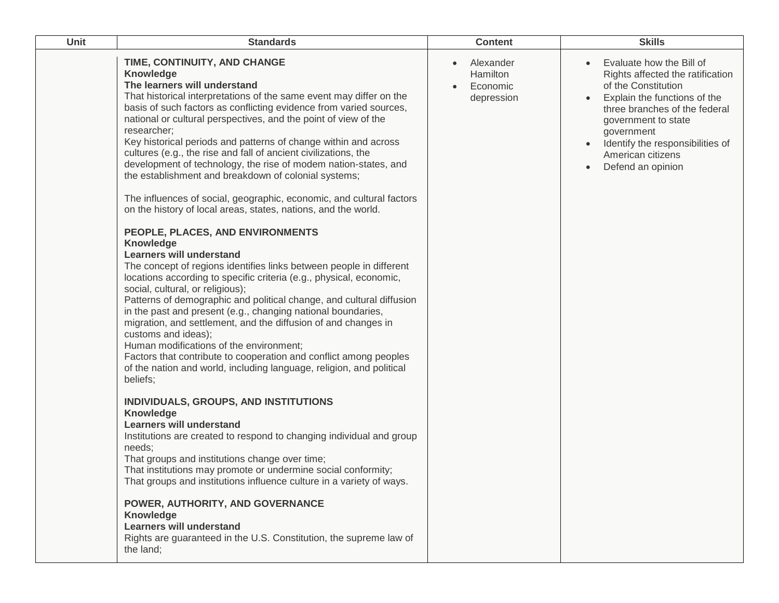| <b>Unit</b> | <b>Standards</b>                                                                                                                                                                                                                                                                                                                                                                                                                                                                                                                                                                                                                                                                                                                                                                                                                                                                                                                                                                                                                                                                                                                                                                                                                                                                                                                                                                                                                                                                                                                                                                                                                                                                                                                                                                                                                                                                                                                                                                                        | <b>Content</b>                                               | <b>Skills</b>                                                                                                                                                                                                                                                           |
|-------------|---------------------------------------------------------------------------------------------------------------------------------------------------------------------------------------------------------------------------------------------------------------------------------------------------------------------------------------------------------------------------------------------------------------------------------------------------------------------------------------------------------------------------------------------------------------------------------------------------------------------------------------------------------------------------------------------------------------------------------------------------------------------------------------------------------------------------------------------------------------------------------------------------------------------------------------------------------------------------------------------------------------------------------------------------------------------------------------------------------------------------------------------------------------------------------------------------------------------------------------------------------------------------------------------------------------------------------------------------------------------------------------------------------------------------------------------------------------------------------------------------------------------------------------------------------------------------------------------------------------------------------------------------------------------------------------------------------------------------------------------------------------------------------------------------------------------------------------------------------------------------------------------------------------------------------------------------------------------------------------------------------|--------------------------------------------------------------|-------------------------------------------------------------------------------------------------------------------------------------------------------------------------------------------------------------------------------------------------------------------------|
|             | TIME, CONTINUITY, AND CHANGE<br><b>Knowledge</b><br>The learners will understand<br>That historical interpretations of the same event may differ on the<br>basis of such factors as conflicting evidence from varied sources,<br>national or cultural perspectives, and the point of view of the<br>researcher;<br>Key historical periods and patterns of change within and across<br>cultures (e.g., the rise and fall of ancient civilizations, the<br>development of technology, the rise of modem nation-states, and<br>the establishment and breakdown of colonial systems;<br>The influences of social, geographic, economic, and cultural factors<br>on the history of local areas, states, nations, and the world.<br>PEOPLE, PLACES, AND ENVIRONMENTS<br><b>Knowledge</b><br><b>Learners will understand</b><br>The concept of regions identifies links between people in different<br>locations according to specific criteria (e.g., physical, economic,<br>social, cultural, or religious);<br>Patterns of demographic and political change, and cultural diffusion<br>in the past and present (e.g., changing national boundaries,<br>migration, and settlement, and the diffusion of and changes in<br>customs and ideas);<br>Human modifications of the environment;<br>Factors that contribute to cooperation and conflict among peoples<br>of the nation and world, including language, religion, and political<br>beliefs;<br>INDIVIDUALS, GROUPS, AND INSTITUTIONS<br><b>Knowledge</b><br><b>Learners will understand</b><br>Institutions are created to respond to changing individual and group<br>needs;<br>That groups and institutions change over time;<br>That institutions may promote or undermine social conformity;<br>That groups and institutions influence culture in a variety of ways.<br>POWER, AUTHORITY, AND GOVERNANCE<br><b>Knowledge</b><br><b>Learners will understand</b><br>Rights are guaranteed in the U.S. Constitution, the supreme law of<br>the land: | Alexander<br>$\bullet$<br>Hamilton<br>Economic<br>depression | Evaluate how the Bill of<br>Rights affected the ratification<br>of the Constitution<br>Explain the functions of the<br>three branches of the federal<br>government to state<br>government<br>Identify the responsibilities of<br>American citizens<br>Defend an opinion |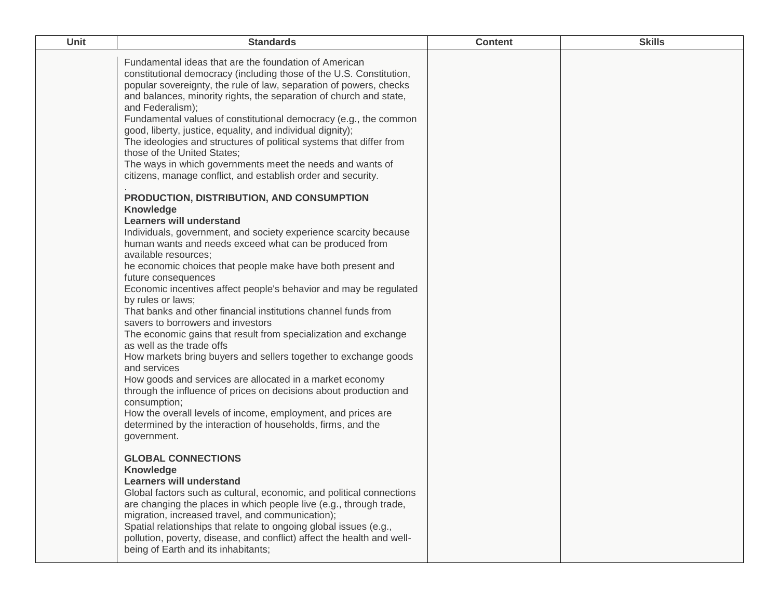| <b>Unit</b> | <b>Standards</b>                                                                                                                                                                                                                                                                                                                                                                                                                                                                                                                                                                                                                                                                                                                                                                                                                                                                                                                                                                                                                                                                                                                                                                                                                                                                                                                                                                                                                                                                                                                                                                                                                                                                             | <b>Content</b> | <b>Skills</b> |
|-------------|----------------------------------------------------------------------------------------------------------------------------------------------------------------------------------------------------------------------------------------------------------------------------------------------------------------------------------------------------------------------------------------------------------------------------------------------------------------------------------------------------------------------------------------------------------------------------------------------------------------------------------------------------------------------------------------------------------------------------------------------------------------------------------------------------------------------------------------------------------------------------------------------------------------------------------------------------------------------------------------------------------------------------------------------------------------------------------------------------------------------------------------------------------------------------------------------------------------------------------------------------------------------------------------------------------------------------------------------------------------------------------------------------------------------------------------------------------------------------------------------------------------------------------------------------------------------------------------------------------------------------------------------------------------------------------------------|----------------|---------------|
|             | Fundamental ideas that are the foundation of American<br>constitutional democracy (including those of the U.S. Constitution,<br>popular sovereignty, the rule of law, separation of powers, checks<br>and balances, minority rights, the separation of church and state,<br>and Federalism);<br>Fundamental values of constitutional democracy (e.g., the common<br>good, liberty, justice, equality, and individual dignity);<br>The ideologies and structures of political systems that differ from<br>those of the United States;<br>The ways in which governments meet the needs and wants of<br>citizens, manage conflict, and establish order and security.<br>PRODUCTION, DISTRIBUTION, AND CONSUMPTION<br>Knowledge<br><b>Learners will understand</b><br>Individuals, government, and society experience scarcity because<br>human wants and needs exceed what can be produced from<br>available resources;<br>he economic choices that people make have both present and<br>future consequences<br>Economic incentives affect people's behavior and may be regulated<br>by rules or laws;<br>That banks and other financial institutions channel funds from<br>savers to borrowers and investors<br>The economic gains that result from specialization and exchange<br>as well as the trade offs<br>How markets bring buyers and sellers together to exchange goods<br>and services<br>How goods and services are allocated in a market economy<br>through the influence of prices on decisions about production and<br>consumption;<br>How the overall levels of income, employment, and prices are<br>determined by the interaction of households, firms, and the<br>government. |                |               |
|             | <b>GLOBAL CONNECTIONS</b><br><b>Knowledge</b><br><b>Learners will understand</b><br>Global factors such as cultural, economic, and political connections<br>are changing the places in which people live (e.g., through trade,<br>migration, increased travel, and communication);<br>Spatial relationships that relate to ongoing global issues (e.g.,<br>pollution, poverty, disease, and conflict) affect the health and well-<br>being of Earth and its inhabitants;                                                                                                                                                                                                                                                                                                                                                                                                                                                                                                                                                                                                                                                                                                                                                                                                                                                                                                                                                                                                                                                                                                                                                                                                                     |                |               |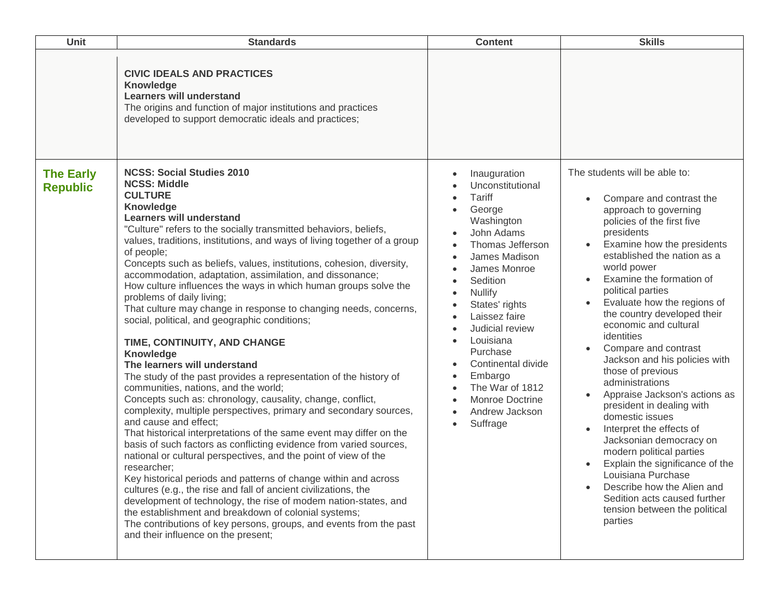| <b>Unit</b>                         | <b>Standards</b>                                                                                                                                                                                                                                                                                                                                                                                                                                                                                                                                                                                                                                                                                                                                                                                                                                                                                                                                                                                                                                                                                                                                                                                                                                                                                                                                                                                                                                                                                                                                                                                                    | <b>Content</b>                                                                                                                                                                                                                                                                                                                                                                                                                        | <b>Skills</b>                                                                                                                                                                                                                                                                                                                                                                                                                                                                                                                                                                                                                                                                                                                                                                                                                      |
|-------------------------------------|---------------------------------------------------------------------------------------------------------------------------------------------------------------------------------------------------------------------------------------------------------------------------------------------------------------------------------------------------------------------------------------------------------------------------------------------------------------------------------------------------------------------------------------------------------------------------------------------------------------------------------------------------------------------------------------------------------------------------------------------------------------------------------------------------------------------------------------------------------------------------------------------------------------------------------------------------------------------------------------------------------------------------------------------------------------------------------------------------------------------------------------------------------------------------------------------------------------------------------------------------------------------------------------------------------------------------------------------------------------------------------------------------------------------------------------------------------------------------------------------------------------------------------------------------------------------------------------------------------------------|---------------------------------------------------------------------------------------------------------------------------------------------------------------------------------------------------------------------------------------------------------------------------------------------------------------------------------------------------------------------------------------------------------------------------------------|------------------------------------------------------------------------------------------------------------------------------------------------------------------------------------------------------------------------------------------------------------------------------------------------------------------------------------------------------------------------------------------------------------------------------------------------------------------------------------------------------------------------------------------------------------------------------------------------------------------------------------------------------------------------------------------------------------------------------------------------------------------------------------------------------------------------------------|
|                                     | <b>CIVIC IDEALS AND PRACTICES</b><br>Knowledge<br><b>Learners will understand</b><br>The origins and function of major institutions and practices<br>developed to support democratic ideals and practices;                                                                                                                                                                                                                                                                                                                                                                                                                                                                                                                                                                                                                                                                                                                                                                                                                                                                                                                                                                                                                                                                                                                                                                                                                                                                                                                                                                                                          |                                                                                                                                                                                                                                                                                                                                                                                                                                       |                                                                                                                                                                                                                                                                                                                                                                                                                                                                                                                                                                                                                                                                                                                                                                                                                                    |
| <b>The Early</b><br><b>Republic</b> | <b>NCSS: Social Studies 2010</b><br><b>NCSS: Middle</b><br><b>CULTURE</b><br>Knowledge<br><b>Learners will understand</b><br>"Culture" refers to the socially transmitted behaviors, beliefs,<br>values, traditions, institutions, and ways of living together of a group<br>of people;<br>Concepts such as beliefs, values, institutions, cohesion, diversity,<br>accommodation, adaptation, assimilation, and dissonance;<br>How culture influences the ways in which human groups solve the<br>problems of daily living;<br>That culture may change in response to changing needs, concerns,<br>social, political, and geographic conditions;<br>TIME, CONTINUITY, AND CHANGE<br>Knowledge<br>The learners will understand<br>The study of the past provides a representation of the history of<br>communities, nations, and the world;<br>Concepts such as: chronology, causality, change, conflict,<br>complexity, multiple perspectives, primary and secondary sources,<br>and cause and effect:<br>That historical interpretations of the same event may differ on the<br>basis of such factors as conflicting evidence from varied sources,<br>national or cultural perspectives, and the point of view of the<br>researcher;<br>Key historical periods and patterns of change within and across<br>cultures (e.g., the rise and fall of ancient civilizations, the<br>development of technology, the rise of modem nation-states, and<br>the establishment and breakdown of colonial systems;<br>The contributions of key persons, groups, and events from the past<br>and their influence on the present; | Inauguration<br>Unconstitutional<br>Tariff<br>George<br>Washington<br>John Adams<br>Thomas Jefferson<br>James Madison<br>James Monroe<br>Sedition<br><b>Nullify</b><br>$\bullet$<br>States' rights<br>$\bullet$<br>Laissez faire<br>Judicial review<br>Louisiana<br>$\bullet$<br>Purchase<br>Continental divide<br>Embargo<br>$\bullet$<br>The War of 1812<br>Monroe Doctrine<br>Andrew Jackson<br>$\bullet$<br>Suffrage<br>$\bullet$ | The students will be able to:<br>Compare and contrast the<br>approach to governing<br>policies of the first five<br>presidents<br>Examine how the presidents<br>$\bullet$<br>established the nation as a<br>world power<br>Examine the formation of<br>political parties<br>Evaluate how the regions of<br>$\bullet$<br>the country developed their<br>economic and cultural<br>identities<br>Compare and contrast<br>Jackson and his policies with<br>those of previous<br>administrations<br>Appraise Jackson's actions as<br>president in dealing with<br>domestic issues<br>Interpret the effects of<br>Jacksonian democracy on<br>modern political parties<br>Explain the significance of the<br>Louisiana Purchase<br>Describe how the Alien and<br>Sedition acts caused further<br>tension between the political<br>parties |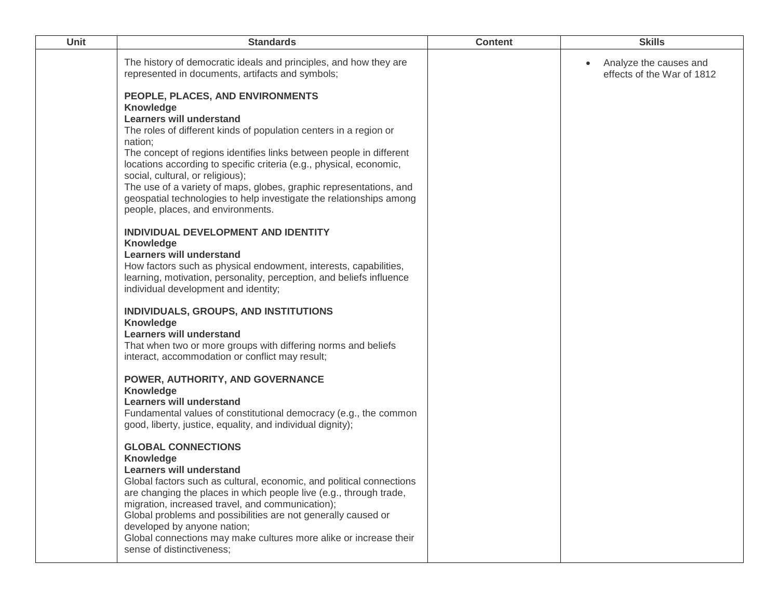| Unit | <b>Standards</b>                                                                                                                                                                                                                                                                                                                                                                                                                                                                                                                     | <b>Content</b> | <b>Skills</b>                                                     |
|------|--------------------------------------------------------------------------------------------------------------------------------------------------------------------------------------------------------------------------------------------------------------------------------------------------------------------------------------------------------------------------------------------------------------------------------------------------------------------------------------------------------------------------------------|----------------|-------------------------------------------------------------------|
|      | The history of democratic ideals and principles, and how they are<br>represented in documents, artifacts and symbols;                                                                                                                                                                                                                                                                                                                                                                                                                |                | Analyze the causes and<br>$\bullet$<br>effects of the War of 1812 |
|      | PEOPLE, PLACES, AND ENVIRONMENTS<br>Knowledge<br><b>Learners will understand</b><br>The roles of different kinds of population centers in a region or<br>nation;<br>The concept of regions identifies links between people in different<br>locations according to specific criteria (e.g., physical, economic,<br>social, cultural, or religious);<br>The use of a variety of maps, globes, graphic representations, and<br>geospatial technologies to help investigate the relationships among<br>people, places, and environments. |                |                                                                   |
|      | INDIVIDUAL DEVELOPMENT AND IDENTITY<br><b>Knowledge</b><br><b>Learners will understand</b><br>How factors such as physical endowment, interests, capabilities,<br>learning, motivation, personality, perception, and beliefs influence<br>individual development and identity;                                                                                                                                                                                                                                                       |                |                                                                   |
|      | INDIVIDUALS, GROUPS, AND INSTITUTIONS<br>Knowledge<br><b>Learners will understand</b><br>That when two or more groups with differing norms and beliefs<br>interact, accommodation or conflict may result;                                                                                                                                                                                                                                                                                                                            |                |                                                                   |
|      | POWER, AUTHORITY, AND GOVERNANCE<br><b>Knowledge</b><br><b>Learners will understand</b><br>Fundamental values of constitutional democracy (e.g., the common<br>good, liberty, justice, equality, and individual dignity);                                                                                                                                                                                                                                                                                                            |                |                                                                   |
|      | <b>GLOBAL CONNECTIONS</b><br><b>Knowledge</b><br>Learners will understand<br>Global factors such as cultural, economic, and political connections<br>are changing the places in which people live (e.g., through trade,<br>migration, increased travel, and communication);<br>Global problems and possibilities are not generally caused or<br>developed by anyone nation;<br>Global connections may make cultures more alike or increase their<br>sense of distinctiveness;                                                        |                |                                                                   |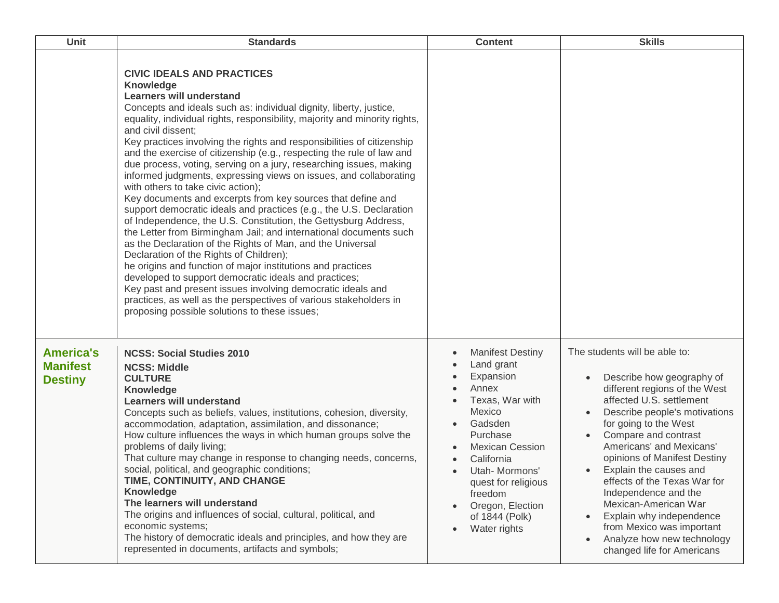| <b>Unit</b>                                           | <b>Standards</b>                                                                                                                                                                                                                                                                                                                                                                                                                                                                                                                                                                                                                                                                                                                                                                                                                                                                                                                                                                                                                                                                                                                                                                                                                                                                                    | <b>Content</b>                                                                                                                                                                                                                                                                 | <b>Skills</b>                                                                                                                                                                                                                                                                                                                                                                                                                                                                                                                               |
|-------------------------------------------------------|-----------------------------------------------------------------------------------------------------------------------------------------------------------------------------------------------------------------------------------------------------------------------------------------------------------------------------------------------------------------------------------------------------------------------------------------------------------------------------------------------------------------------------------------------------------------------------------------------------------------------------------------------------------------------------------------------------------------------------------------------------------------------------------------------------------------------------------------------------------------------------------------------------------------------------------------------------------------------------------------------------------------------------------------------------------------------------------------------------------------------------------------------------------------------------------------------------------------------------------------------------------------------------------------------------|--------------------------------------------------------------------------------------------------------------------------------------------------------------------------------------------------------------------------------------------------------------------------------|---------------------------------------------------------------------------------------------------------------------------------------------------------------------------------------------------------------------------------------------------------------------------------------------------------------------------------------------------------------------------------------------------------------------------------------------------------------------------------------------------------------------------------------------|
|                                                       | <b>CIVIC IDEALS AND PRACTICES</b><br>Knowledge<br><b>Learners will understand</b><br>Concepts and ideals such as: individual dignity, liberty, justice,<br>equality, individual rights, responsibility, majority and minority rights,<br>and civil dissent;<br>Key practices involving the rights and responsibilities of citizenship<br>and the exercise of citizenship (e.g., respecting the rule of law and<br>due process, voting, serving on a jury, researching issues, making<br>informed judgments, expressing views on issues, and collaborating<br>with others to take civic action);<br>Key documents and excerpts from key sources that define and<br>support democratic ideals and practices (e.g., the U.S. Declaration<br>of Independence, the U.S. Constitution, the Gettysburg Address,<br>the Letter from Birmingham Jail; and international documents such<br>as the Declaration of the Rights of Man, and the Universal<br>Declaration of the Rights of Children);<br>he origins and function of major institutions and practices<br>developed to support democratic ideals and practices;<br>Key past and present issues involving democratic ideals and<br>practices, as well as the perspectives of various stakeholders in<br>proposing possible solutions to these issues; |                                                                                                                                                                                                                                                                                |                                                                                                                                                                                                                                                                                                                                                                                                                                                                                                                                             |
| <b>America's</b><br><b>Manifest</b><br><b>Destiny</b> | <b>NCSS: Social Studies 2010</b><br><b>NCSS: Middle</b><br><b>CULTURE</b><br><b>Knowledge</b><br><b>Learners will understand</b><br>Concepts such as beliefs, values, institutions, cohesion, diversity,<br>accommodation, adaptation, assimilation, and dissonance;<br>How culture influences the ways in which human groups solve the<br>problems of daily living;<br>That culture may change in response to changing needs, concerns,<br>social, political, and geographic conditions;<br>TIME, CONTINUITY, AND CHANGE<br><b>Knowledge</b><br>The learners will understand<br>The origins and influences of social, cultural, political, and<br>economic systems;<br>The history of democratic ideals and principles, and how they are<br>represented in documents, artifacts and symbols;                                                                                                                                                                                                                                                                                                                                                                                                                                                                                                       | <b>Manifest Destiny</b><br>Land grant<br>Expansion<br>Annex<br>Texas, War with<br>Mexico<br>Gadsden<br>Purchase<br><b>Mexican Cession</b><br>California<br>Utah- Mormons'<br>$\bullet$<br>quest for religious<br>freedom<br>Oregon, Election<br>of 1844 (Polk)<br>Water rights | The students will be able to:<br>Describe how geography of<br>different regions of the West<br>affected U.S. settlement<br>Describe people's motivations<br>for going to the West<br>Compare and contrast<br>Americans' and Mexicans'<br>opinions of Manifest Destiny<br>Explain the causes and<br>$\bullet$<br>effects of the Texas War for<br>Independence and the<br>Mexican-American War<br>Explain why independence<br>$\bullet$<br>from Mexico was important<br>Analyze how new technology<br>$\bullet$<br>changed life for Americans |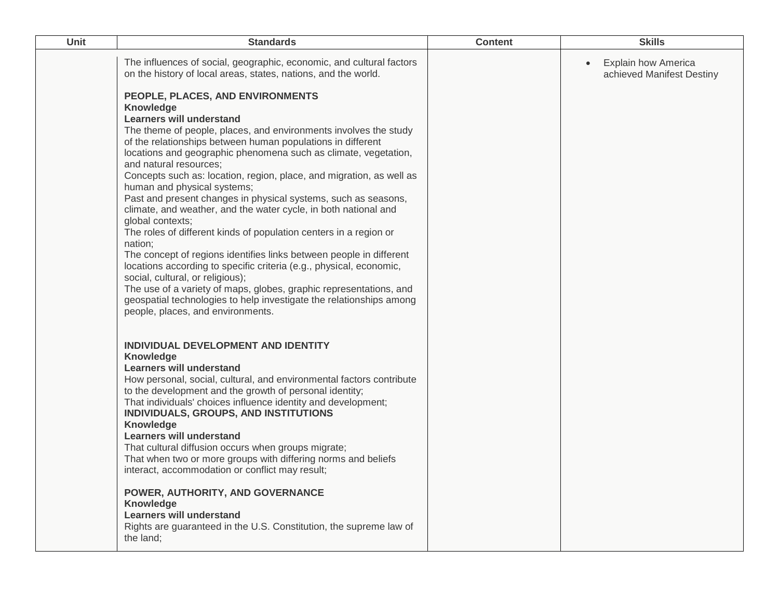| Unit | <b>Standards</b>                                                                                                                                                                                                                                                                                                                                                                                                                                                                                                                                                                                          | <b>Content</b> | <b>Skills</b>                                           |
|------|-----------------------------------------------------------------------------------------------------------------------------------------------------------------------------------------------------------------------------------------------------------------------------------------------------------------------------------------------------------------------------------------------------------------------------------------------------------------------------------------------------------------------------------------------------------------------------------------------------------|----------------|---------------------------------------------------------|
|      | The influences of social, geographic, economic, and cultural factors<br>on the history of local areas, states, nations, and the world.<br>PEOPLE, PLACES, AND ENVIRONMENTS<br>Knowledge<br><b>Learners will understand</b><br>The theme of people, places, and environments involves the study<br>of the relationships between human populations in different<br>locations and geographic phenomena such as climate, vegetation,<br>and natural resources;<br>Concepts such as: location, region, place, and migration, as well as<br>human and physical systems;                                         |                | <b>Explain how America</b><br>achieved Manifest Destiny |
|      | Past and present changes in physical systems, such as seasons,<br>climate, and weather, and the water cycle, in both national and<br>global contexts;<br>The roles of different kinds of population centers in a region or<br>nation;<br>The concept of regions identifies links between people in different<br>locations according to specific criteria (e.g., physical, economic,<br>social, cultural, or religious);<br>The use of a variety of maps, globes, graphic representations, and<br>geospatial technologies to help investigate the relationships among<br>people, places, and environments. |                |                                                         |
|      | INDIVIDUAL DEVELOPMENT AND IDENTITY<br>Knowledge<br><b>Learners will understand</b><br>How personal, social, cultural, and environmental factors contribute<br>to the development and the growth of personal identity;<br>That individuals' choices influence identity and development;<br>INDIVIDUALS, GROUPS, AND INSTITUTIONS<br>Knowledge<br><b>Learners will understand</b><br>That cultural diffusion occurs when groups migrate;<br>That when two or more groups with differing norms and beliefs<br>interact, accommodation or conflict may result;                                               |                |                                                         |
|      | POWER, AUTHORITY, AND GOVERNANCE<br>Knowledge<br><b>Learners will understand</b><br>Rights are guaranteed in the U.S. Constitution, the supreme law of<br>the land;                                                                                                                                                                                                                                                                                                                                                                                                                                       |                |                                                         |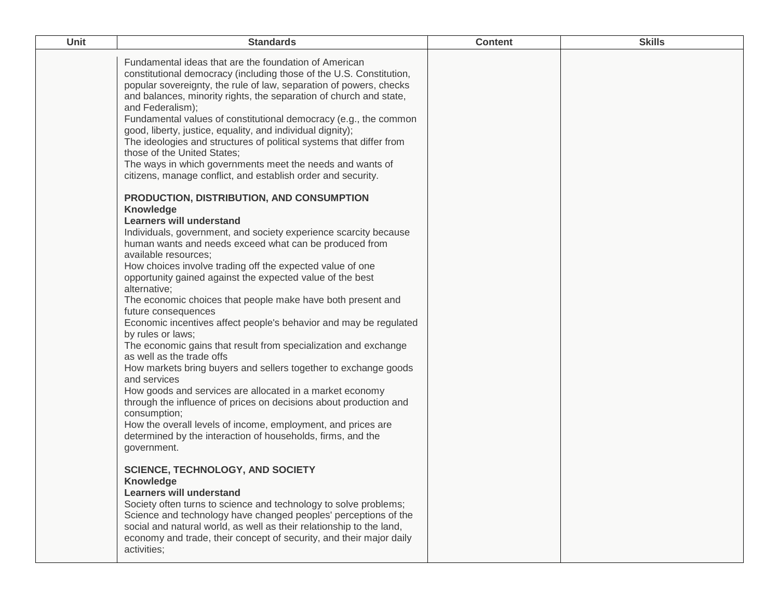| <b>Unit</b> | <b>Standards</b>                                                                                                                                                                                                                                                                                                                                                                                                                                                                                                                                                                                                                                                                                                                                                                                                                                                                                                                                                                                                                                                                                                                                                                                                                                                                                                                                                                                                                                                                                                                                                                                                                                                                                                                 | <b>Content</b> | <b>Skills</b> |
|-------------|----------------------------------------------------------------------------------------------------------------------------------------------------------------------------------------------------------------------------------------------------------------------------------------------------------------------------------------------------------------------------------------------------------------------------------------------------------------------------------------------------------------------------------------------------------------------------------------------------------------------------------------------------------------------------------------------------------------------------------------------------------------------------------------------------------------------------------------------------------------------------------------------------------------------------------------------------------------------------------------------------------------------------------------------------------------------------------------------------------------------------------------------------------------------------------------------------------------------------------------------------------------------------------------------------------------------------------------------------------------------------------------------------------------------------------------------------------------------------------------------------------------------------------------------------------------------------------------------------------------------------------------------------------------------------------------------------------------------------------|----------------|---------------|
|             | Fundamental ideas that are the foundation of American<br>constitutional democracy (including those of the U.S. Constitution,<br>popular sovereignty, the rule of law, separation of powers, checks<br>and balances, minority rights, the separation of church and state,<br>and Federalism);<br>Fundamental values of constitutional democracy (e.g., the common<br>good, liberty, justice, equality, and individual dignity);<br>The ideologies and structures of political systems that differ from<br>those of the United States:<br>The ways in which governments meet the needs and wants of<br>citizens, manage conflict, and establish order and security.<br>PRODUCTION, DISTRIBUTION, AND CONSUMPTION<br>Knowledge<br><b>Learners will understand</b><br>Individuals, government, and society experience scarcity because<br>human wants and needs exceed what can be produced from<br>available resources;<br>How choices involve trading off the expected value of one<br>opportunity gained against the expected value of the best<br>alternative;<br>The economic choices that people make have both present and<br>future consequences<br>Economic incentives affect people's behavior and may be regulated<br>by rules or laws;<br>The economic gains that result from specialization and exchange<br>as well as the trade offs<br>How markets bring buyers and sellers together to exchange goods<br>and services<br>How goods and services are allocated in a market economy<br>through the influence of prices on decisions about production and<br>consumption;<br>How the overall levels of income, employment, and prices are<br>determined by the interaction of households, firms, and the<br>government. |                |               |
|             | <b>SCIENCE, TECHNOLOGY, AND SOCIETY</b><br><b>Knowledge</b><br><b>Learners will understand</b><br>Society often turns to science and technology to solve problems;<br>Science and technology have changed peoples' perceptions of the<br>social and natural world, as well as their relationship to the land,<br>economy and trade, their concept of security, and their major daily<br>activities;                                                                                                                                                                                                                                                                                                                                                                                                                                                                                                                                                                                                                                                                                                                                                                                                                                                                                                                                                                                                                                                                                                                                                                                                                                                                                                                              |                |               |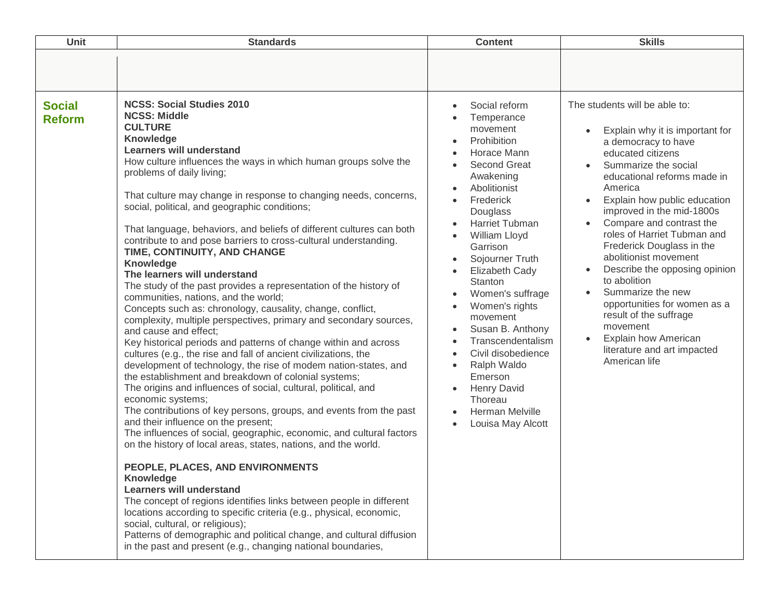| Unit                           | <b>Standards</b>                                                                                                                                                                                                                                                                                                                                                                                                                                                                                                                                                                                                                                                                                                                                                                                                                                                                                                                                                                                                                                                                                                                                                                                                                                                                                                                                                                                                                                                                                                                                                                                                                                                                                                                                                                                                                                                                     | <b>Content</b>                                                                                                                                                                                                                                                                                                                                                                                                                                                                            | <b>Skills</b>                                                                                                                                                                                                                                                                                                                                                                                                                                                                                                                                                                                                                               |
|--------------------------------|--------------------------------------------------------------------------------------------------------------------------------------------------------------------------------------------------------------------------------------------------------------------------------------------------------------------------------------------------------------------------------------------------------------------------------------------------------------------------------------------------------------------------------------------------------------------------------------------------------------------------------------------------------------------------------------------------------------------------------------------------------------------------------------------------------------------------------------------------------------------------------------------------------------------------------------------------------------------------------------------------------------------------------------------------------------------------------------------------------------------------------------------------------------------------------------------------------------------------------------------------------------------------------------------------------------------------------------------------------------------------------------------------------------------------------------------------------------------------------------------------------------------------------------------------------------------------------------------------------------------------------------------------------------------------------------------------------------------------------------------------------------------------------------------------------------------------------------------------------------------------------------|-------------------------------------------------------------------------------------------------------------------------------------------------------------------------------------------------------------------------------------------------------------------------------------------------------------------------------------------------------------------------------------------------------------------------------------------------------------------------------------------|---------------------------------------------------------------------------------------------------------------------------------------------------------------------------------------------------------------------------------------------------------------------------------------------------------------------------------------------------------------------------------------------------------------------------------------------------------------------------------------------------------------------------------------------------------------------------------------------------------------------------------------------|
|                                |                                                                                                                                                                                                                                                                                                                                                                                                                                                                                                                                                                                                                                                                                                                                                                                                                                                                                                                                                                                                                                                                                                                                                                                                                                                                                                                                                                                                                                                                                                                                                                                                                                                                                                                                                                                                                                                                                      |                                                                                                                                                                                                                                                                                                                                                                                                                                                                                           |                                                                                                                                                                                                                                                                                                                                                                                                                                                                                                                                                                                                                                             |
| <b>Social</b><br><b>Reform</b> | <b>NCSS: Social Studies 2010</b><br><b>NCSS: Middle</b><br><b>CULTURE</b><br><b>Knowledge</b><br><b>Learners will understand</b><br>How culture influences the ways in which human groups solve the<br>problems of daily living;<br>That culture may change in response to changing needs, concerns,<br>social, political, and geographic conditions;<br>That language, behaviors, and beliefs of different cultures can both<br>contribute to and pose barriers to cross-cultural understanding.<br>TIME, CONTINUITY, AND CHANGE<br>Knowledge<br>The learners will understand<br>The study of the past provides a representation of the history of<br>communities, nations, and the world;<br>Concepts such as: chronology, causality, change, conflict,<br>complexity, multiple perspectives, primary and secondary sources,<br>and cause and effect;<br>Key historical periods and patterns of change within and across<br>cultures (e.g., the rise and fall of ancient civilizations, the<br>development of technology, the rise of modem nation-states, and<br>the establishment and breakdown of colonial systems;<br>The origins and influences of social, cultural, political, and<br>economic systems;<br>The contributions of key persons, groups, and events from the past<br>and their influence on the present;<br>The influences of social, geographic, economic, and cultural factors<br>on the history of local areas, states, nations, and the world.<br>PEOPLE, PLACES, AND ENVIRONMENTS<br>Knowledge<br><b>Learners will understand</b><br>The concept of regions identifies links between people in different<br>locations according to specific criteria (e.g., physical, economic,<br>social, cultural, or religious);<br>Patterns of demographic and political change, and cultural diffusion<br>in the past and present (e.g., changing national boundaries, | Social reform<br>Temperance<br>movement<br>Prohibition<br>Horace Mann<br><b>Second Great</b><br>Awakening<br>Abolitionist<br>Frederick<br>Douglass<br>Harriet Tubman<br>William Lloyd<br>$\bullet$<br>Garrison<br>Sojourner Truth<br>Elizabeth Cady<br>Stanton<br>Women's suffrage<br>Women's rights<br>movement<br>Susan B. Anthony<br>Transcendentalism<br>Civil disobedience<br>Ralph Waldo<br>Emerson<br><b>Henry David</b><br>Thoreau<br><b>Herman Melville</b><br>Louisa May Alcott | The students will be able to:<br>Explain why it is important for<br>$\bullet$<br>a democracy to have<br>educated citizens<br>Summarize the social<br>educational reforms made in<br>America<br>Explain how public education<br>improved in the mid-1800s<br>Compare and contrast the<br>roles of Harriet Tubman and<br>Frederick Douglass in the<br>abolitionist movement<br>Describe the opposing opinion<br>$\bullet$<br>to abolition<br>Summarize the new<br>$\bullet$<br>opportunities for women as a<br>result of the suffrage<br>movement<br><b>Explain how American</b><br>$\bullet$<br>literature and art impacted<br>American life |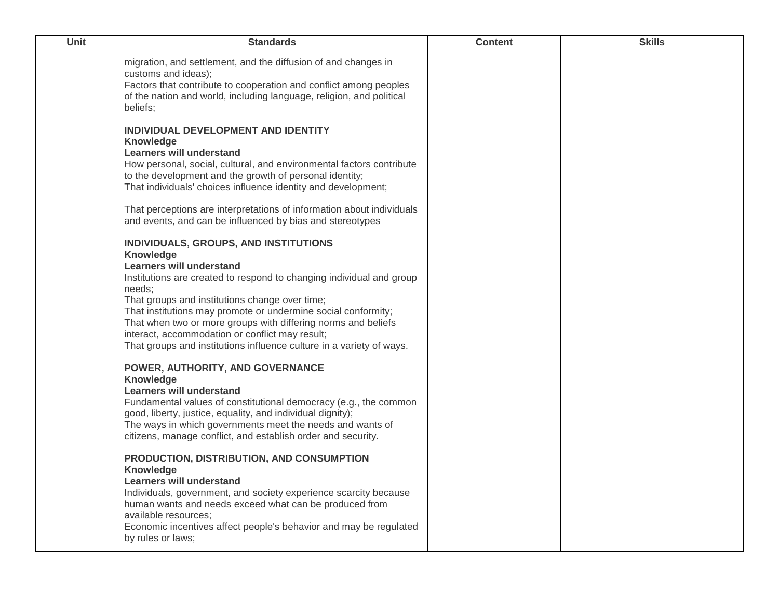| Unit | <b>Standards</b>                                                                                                                                                                                                                                                                                                                                                                                                                                                                              | <b>Content</b> | <b>Skills</b> |
|------|-----------------------------------------------------------------------------------------------------------------------------------------------------------------------------------------------------------------------------------------------------------------------------------------------------------------------------------------------------------------------------------------------------------------------------------------------------------------------------------------------|----------------|---------------|
|      | migration, and settlement, and the diffusion of and changes in<br>customs and ideas);<br>Factors that contribute to cooperation and conflict among peoples<br>of the nation and world, including language, religion, and political<br>beliefs;                                                                                                                                                                                                                                                |                |               |
|      | INDIVIDUAL DEVELOPMENT AND IDENTITY<br><b>Knowledge</b><br><b>Learners will understand</b><br>How personal, social, cultural, and environmental factors contribute<br>to the development and the growth of personal identity;<br>That individuals' choices influence identity and development;                                                                                                                                                                                                |                |               |
|      | That perceptions are interpretations of information about individuals<br>and events, and can be influenced by bias and stereotypes                                                                                                                                                                                                                                                                                                                                                            |                |               |
|      | INDIVIDUALS, GROUPS, AND INSTITUTIONS<br><b>Knowledge</b><br><b>Learners will understand</b><br>Institutions are created to respond to changing individual and group<br>needs;<br>That groups and institutions change over time;<br>That institutions may promote or undermine social conformity;<br>That when two or more groups with differing norms and beliefs<br>interact, accommodation or conflict may result;<br>That groups and institutions influence culture in a variety of ways. |                |               |
|      | POWER, AUTHORITY, AND GOVERNANCE<br><b>Knowledge</b><br><b>Learners will understand</b><br>Fundamental values of constitutional democracy (e.g., the common<br>good, liberty, justice, equality, and individual dignity);<br>The ways in which governments meet the needs and wants of<br>citizens, manage conflict, and establish order and security.                                                                                                                                        |                |               |
|      | PRODUCTION, DISTRIBUTION, AND CONSUMPTION<br><b>Knowledge</b><br><b>Learners will understand</b><br>Individuals, government, and society experience scarcity because<br>human wants and needs exceed what can be produced from<br>available resources;<br>Economic incentives affect people's behavior and may be regulated<br>by rules or laws;                                                                                                                                              |                |               |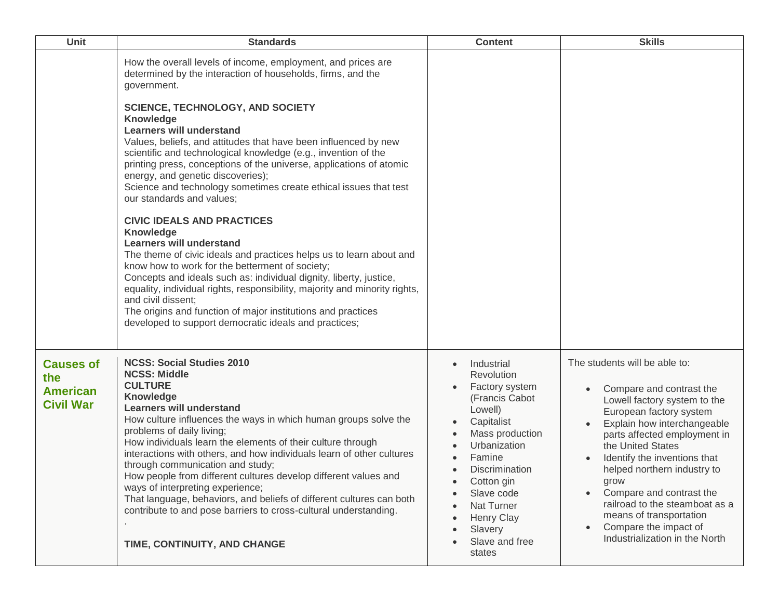| Unit                                                           | <b>Standards</b>                                                                                                                                                                                                                                                                                                                                                                                                                                                                                                                                                                                                                                                                                                                                                                                                                                                                                                                                                                                                                                                                                          | <b>Content</b>                                                                                                                                                                                                                                                                                   | <b>Skills</b>                                                                                                                                                                                                                                                                                                                                                                                                                                                 |
|----------------------------------------------------------------|-----------------------------------------------------------------------------------------------------------------------------------------------------------------------------------------------------------------------------------------------------------------------------------------------------------------------------------------------------------------------------------------------------------------------------------------------------------------------------------------------------------------------------------------------------------------------------------------------------------------------------------------------------------------------------------------------------------------------------------------------------------------------------------------------------------------------------------------------------------------------------------------------------------------------------------------------------------------------------------------------------------------------------------------------------------------------------------------------------------|--------------------------------------------------------------------------------------------------------------------------------------------------------------------------------------------------------------------------------------------------------------------------------------------------|---------------------------------------------------------------------------------------------------------------------------------------------------------------------------------------------------------------------------------------------------------------------------------------------------------------------------------------------------------------------------------------------------------------------------------------------------------------|
|                                                                | How the overall levels of income, employment, and prices are<br>determined by the interaction of households, firms, and the<br>government.<br><b>SCIENCE, TECHNOLOGY, AND SOCIETY</b><br>Knowledge<br><b>Learners will understand</b><br>Values, beliefs, and attitudes that have been influenced by new<br>scientific and technological knowledge (e.g., invention of the<br>printing press, conceptions of the universe, applications of atomic<br>energy, and genetic discoveries);<br>Science and technology sometimes create ethical issues that test<br>our standards and values;<br><b>CIVIC IDEALS AND PRACTICES</b><br>Knowledge<br><b>Learners will understand</b><br>The theme of civic ideals and practices helps us to learn about and<br>know how to work for the betterment of society;<br>Concepts and ideals such as: individual dignity, liberty, justice,<br>equality, individual rights, responsibility, majority and minority rights,<br>and civil dissent;<br>The origins and function of major institutions and practices<br>developed to support democratic ideals and practices; |                                                                                                                                                                                                                                                                                                  |                                                                                                                                                                                                                                                                                                                                                                                                                                                               |
| <b>Causes of</b><br>the<br><b>American</b><br><b>Civil War</b> | <b>NCSS: Social Studies 2010</b><br><b>NCSS: Middle</b><br><b>CULTURE</b><br><b>Knowledge</b><br><b>Learners will understand</b><br>How culture influences the ways in which human groups solve the<br>problems of daily living;<br>How individuals learn the elements of their culture through<br>interactions with others, and how individuals learn of other cultures<br>through communication and study;<br>How people from different cultures develop different values and<br>ways of interpreting experience;<br>That language, behaviors, and beliefs of different cultures can both<br>contribute to and pose barriers to cross-cultural understanding.<br>TIME, CONTINUITY, AND CHANGE                                                                                                                                                                                                                                                                                                                                                                                                           | Industrial<br>$\bullet$<br>Revolution<br>Factory system<br>(Francis Cabot<br>Lowell)<br>Capitalist<br>Mass production<br>Urbanization<br>Famine<br><b>Discrimination</b><br>$\bullet$<br>Cotton gin<br>٠<br>Slave code<br>Nat Turner<br><b>Henry Clay</b><br>Slavery<br>Slave and free<br>states | The students will be able to:<br>Compare and contrast the<br>Lowell factory system to the<br>European factory system<br>Explain how interchangeable<br>parts affected employment in<br>the United States<br>Identify the inventions that<br>helped northern industry to<br>grow<br>Compare and contrast the<br>$\bullet$<br>railroad to the steamboat as a<br>means of transportation<br>Compare the impact of<br>$\bullet$<br>Industrialization in the North |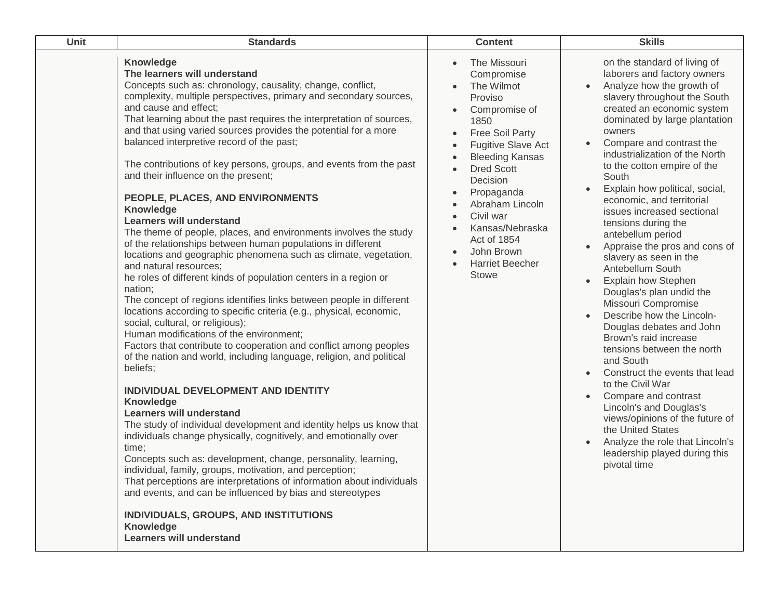| <b>Unit</b> | <b>Standards</b>                                                                                                                                                                                                                                                                                                                                                                                                                                                                                                                                                                                                                                                                                                                                                                                                                                                                                                                                                                                                                                                                                                                                                                                                                                                                                                                                                                                                                                                                                                                                                                                                                                                                                                                                                                                                                                                                                          | <b>Content</b>                                                                                                                                                                                                                                                                                                                                                                                                                                       | <b>Skills</b>                                                                                                                                                                                                                                                                                                                                                                                                                                                                                                                                                                                                                                                                                                                                                                                                                                                                                                                                                                                                                                   |
|-------------|-----------------------------------------------------------------------------------------------------------------------------------------------------------------------------------------------------------------------------------------------------------------------------------------------------------------------------------------------------------------------------------------------------------------------------------------------------------------------------------------------------------------------------------------------------------------------------------------------------------------------------------------------------------------------------------------------------------------------------------------------------------------------------------------------------------------------------------------------------------------------------------------------------------------------------------------------------------------------------------------------------------------------------------------------------------------------------------------------------------------------------------------------------------------------------------------------------------------------------------------------------------------------------------------------------------------------------------------------------------------------------------------------------------------------------------------------------------------------------------------------------------------------------------------------------------------------------------------------------------------------------------------------------------------------------------------------------------------------------------------------------------------------------------------------------------------------------------------------------------------------------------------------------------|------------------------------------------------------------------------------------------------------------------------------------------------------------------------------------------------------------------------------------------------------------------------------------------------------------------------------------------------------------------------------------------------------------------------------------------------------|-------------------------------------------------------------------------------------------------------------------------------------------------------------------------------------------------------------------------------------------------------------------------------------------------------------------------------------------------------------------------------------------------------------------------------------------------------------------------------------------------------------------------------------------------------------------------------------------------------------------------------------------------------------------------------------------------------------------------------------------------------------------------------------------------------------------------------------------------------------------------------------------------------------------------------------------------------------------------------------------------------------------------------------------------|
|             | Knowledge<br>The learners will understand<br>Concepts such as: chronology, causality, change, conflict,<br>complexity, multiple perspectives, primary and secondary sources,<br>and cause and effect;<br>That learning about the past requires the interpretation of sources,<br>and that using varied sources provides the potential for a more<br>balanced interpretive record of the past;<br>The contributions of key persons, groups, and events from the past<br>and their influence on the present;<br>PEOPLE, PLACES, AND ENVIRONMENTS<br>Knowledge<br><b>Learners will understand</b><br>The theme of people, places, and environments involves the study<br>of the relationships between human populations in different<br>locations and geographic phenomena such as climate, vegetation,<br>and natural resources;<br>he roles of different kinds of population centers in a region or<br>nation;<br>The concept of regions identifies links between people in different<br>locations according to specific criteria (e.g., physical, economic,<br>social, cultural, or religious);<br>Human modifications of the environment;<br>Factors that contribute to cooperation and conflict among peoples<br>of the nation and world, including language, religion, and political<br>beliefs;<br>INDIVIDUAL DEVELOPMENT AND IDENTITY<br>Knowledge<br><b>Learners will understand</b><br>The study of individual development and identity helps us know that<br>individuals change physically, cognitively, and emotionally over<br>time;<br>Concepts such as: development, change, personality, learning,<br>individual, family, groups, motivation, and perception;<br>That perceptions are interpretations of information about individuals<br>and events, and can be influenced by bias and stereotypes<br>INDIVIDUALS, GROUPS, AND INSTITUTIONS<br>Knowledge<br><b>Learners will understand</b> | The Missouri<br>$\bullet$<br>Compromise<br>The Wilmot<br>Proviso<br>Compromise of<br>1850<br><b>Free Soil Party</b><br>$\bullet$<br><b>Fugitive Slave Act</b><br>$\bullet$<br><b>Bleeding Kansas</b><br>$\bullet$<br><b>Dred Scott</b><br>$\bullet$<br>Decision<br>Propaganda<br>$\bullet$<br>Abraham Lincoln<br>$\bullet$<br>Civil war<br>$\bullet$<br>Kansas/Nebraska<br>Act of 1854<br>John Brown<br>$\bullet$<br><b>Harriet Beecher</b><br>Stowe | on the standard of living of<br>laborers and factory owners<br>Analyze how the growth of<br>$\bullet$<br>slavery throughout the South<br>created an economic system<br>dominated by large plantation<br>owners<br>Compare and contrast the<br>industrialization of the North<br>to the cotton empire of the<br>South<br>Explain how political, social,<br>economic, and territorial<br>issues increased sectional<br>tensions during the<br>antebellum period<br>Appraise the pros and cons of<br>slavery as seen in the<br>Antebellum South<br>Explain how Stephen<br>$\bullet$<br>Douglas's plan undid the<br>Missouri Compromise<br>Describe how the Lincoln-<br>Douglas debates and John<br>Brown's raid increase<br>tensions between the north<br>and South<br>Construct the events that lead<br>$\bullet$<br>to the Civil War<br>Compare and contrast<br>$\bullet$<br>Lincoln's and Douglas's<br>views/opinions of the future of<br>the United States<br>Analyze the role that Lincoln's<br>leadership played during this<br>pivotal time |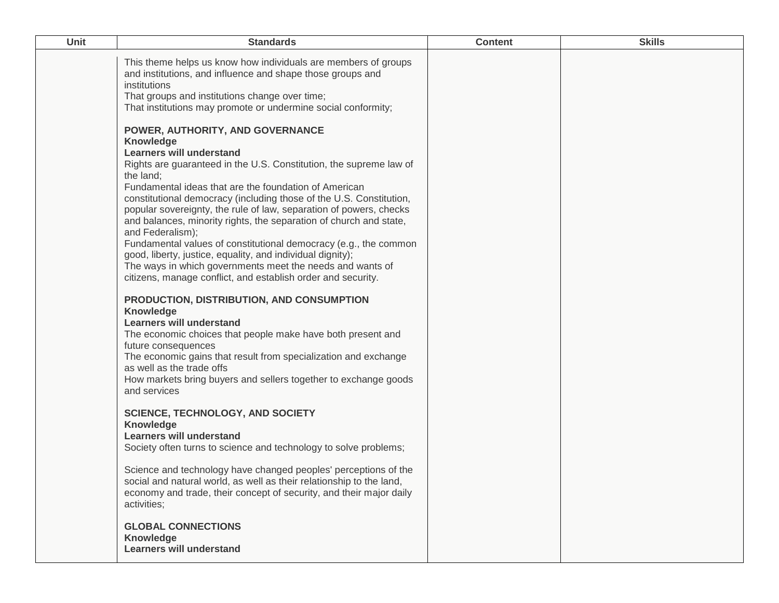| Unit | <b>Standards</b>                                                                                                                                                                                                                                                                                                                                                                                                                                                                                                                                                                                                                                                                                                                                                                                                                                                                                                                                                                                                                                                | <b>Content</b> | <b>Skills</b> |
|------|-----------------------------------------------------------------------------------------------------------------------------------------------------------------------------------------------------------------------------------------------------------------------------------------------------------------------------------------------------------------------------------------------------------------------------------------------------------------------------------------------------------------------------------------------------------------------------------------------------------------------------------------------------------------------------------------------------------------------------------------------------------------------------------------------------------------------------------------------------------------------------------------------------------------------------------------------------------------------------------------------------------------------------------------------------------------|----------------|---------------|
|      | This theme helps us know how individuals are members of groups<br>and institutions, and influence and shape those groups and<br>institutions<br>That groups and institutions change over time;<br>That institutions may promote or undermine social conformity;<br>POWER, AUTHORITY, AND GOVERNANCE<br>Knowledge<br><b>Learners will understand</b><br>Rights are guaranteed in the U.S. Constitution, the supreme law of<br>the land;<br>Fundamental ideas that are the foundation of American<br>constitutional democracy (including those of the U.S. Constitution,<br>popular sovereignty, the rule of law, separation of powers, checks<br>and balances, minority rights, the separation of church and state,<br>and Federalism);<br>Fundamental values of constitutional democracy (e.g., the common<br>good, liberty, justice, equality, and individual dignity);<br>The ways in which governments meet the needs and wants of<br>citizens, manage conflict, and establish order and security.<br>PRODUCTION, DISTRIBUTION, AND CONSUMPTION<br>Knowledge |                |               |
|      | <b>Learners will understand</b><br>The economic choices that people make have both present and<br>future consequences<br>The economic gains that result from specialization and exchange<br>as well as the trade offs<br>How markets bring buyers and sellers together to exchange goods<br>and services                                                                                                                                                                                                                                                                                                                                                                                                                                                                                                                                                                                                                                                                                                                                                        |                |               |
|      | <b>SCIENCE, TECHNOLOGY, AND SOCIETY</b><br>Knowledge<br><b>Learners will understand</b><br>Society often turns to science and technology to solve problems;                                                                                                                                                                                                                                                                                                                                                                                                                                                                                                                                                                                                                                                                                                                                                                                                                                                                                                     |                |               |
|      | Science and technology have changed peoples' perceptions of the<br>social and natural world, as well as their relationship to the land,<br>economy and trade, their concept of security, and their major daily<br>activities;                                                                                                                                                                                                                                                                                                                                                                                                                                                                                                                                                                                                                                                                                                                                                                                                                                   |                |               |
|      | <b>GLOBAL CONNECTIONS</b><br>Knowledge<br><b>Learners will understand</b>                                                                                                                                                                                                                                                                                                                                                                                                                                                                                                                                                                                                                                                                                                                                                                                                                                                                                                                                                                                       |                |               |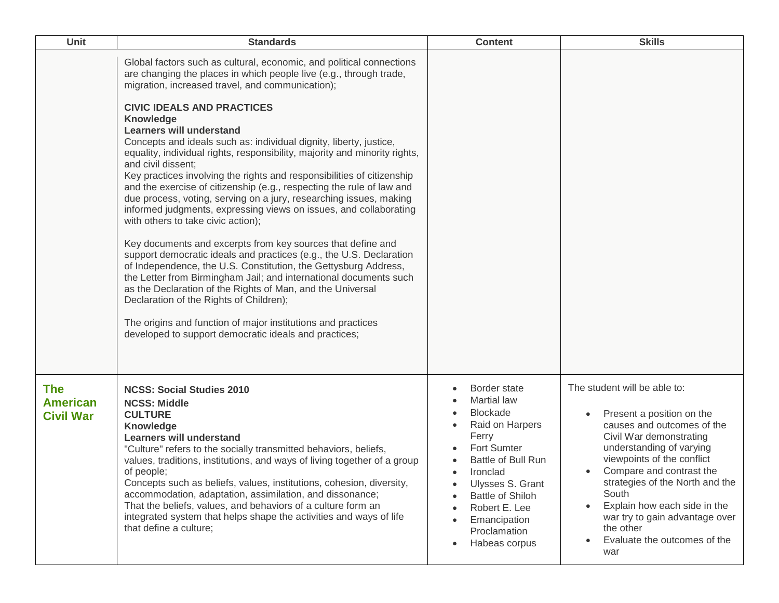| Unit                                              | <b>Standards</b>                                                                                                                                                                                                                                                                                                                                                                                                                                                                                                                                                                                                                                                                                                                                                                                                                                                                                                                                                                                                                                                                                                                                                                                                                                                                                                         | <b>Content</b>                                                                                                                                                                                                                                                   | <b>Skills</b>                                                                                                                                                                                                                                                                                                                                                                           |
|---------------------------------------------------|--------------------------------------------------------------------------------------------------------------------------------------------------------------------------------------------------------------------------------------------------------------------------------------------------------------------------------------------------------------------------------------------------------------------------------------------------------------------------------------------------------------------------------------------------------------------------------------------------------------------------------------------------------------------------------------------------------------------------------------------------------------------------------------------------------------------------------------------------------------------------------------------------------------------------------------------------------------------------------------------------------------------------------------------------------------------------------------------------------------------------------------------------------------------------------------------------------------------------------------------------------------------------------------------------------------------------|------------------------------------------------------------------------------------------------------------------------------------------------------------------------------------------------------------------------------------------------------------------|-----------------------------------------------------------------------------------------------------------------------------------------------------------------------------------------------------------------------------------------------------------------------------------------------------------------------------------------------------------------------------------------|
|                                                   | Global factors such as cultural, economic, and political connections<br>are changing the places in which people live (e.g., through trade,<br>migration, increased travel, and communication);<br><b>CIVIC IDEALS AND PRACTICES</b><br><b>Knowledge</b><br><b>Learners will understand</b><br>Concepts and ideals such as: individual dignity, liberty, justice,<br>equality, individual rights, responsibility, majority and minority rights,<br>and civil dissent;<br>Key practices involving the rights and responsibilities of citizenship<br>and the exercise of citizenship (e.g., respecting the rule of law and<br>due process, voting, serving on a jury, researching issues, making<br>informed judgments, expressing views on issues, and collaborating<br>with others to take civic action);<br>Key documents and excerpts from key sources that define and<br>support democratic ideals and practices (e.g., the U.S. Declaration<br>of Independence, the U.S. Constitution, the Gettysburg Address,<br>the Letter from Birmingham Jail; and international documents such<br>as the Declaration of the Rights of Man, and the Universal<br>Declaration of the Rights of Children);<br>The origins and function of major institutions and practices<br>developed to support democratic ideals and practices; |                                                                                                                                                                                                                                                                  |                                                                                                                                                                                                                                                                                                                                                                                         |
| <b>The</b><br><b>American</b><br><b>Civil War</b> | <b>NCSS: Social Studies 2010</b><br><b>NCSS: Middle</b><br><b>CULTURE</b><br>Knowledge<br><b>Learners will understand</b><br>"Culture" refers to the socially transmitted behaviors, beliefs,<br>values, traditions, institutions, and ways of living together of a group<br>of people;<br>Concepts such as beliefs, values, institutions, cohesion, diversity,<br>accommodation, adaptation, assimilation, and dissonance;<br>That the beliefs, values, and behaviors of a culture form an<br>integrated system that helps shape the activities and ways of life<br>that define a culture;                                                                                                                                                                                                                                                                                                                                                                                                                                                                                                                                                                                                                                                                                                                              | Border state<br><b>Martial law</b><br><b>Blockade</b><br>Raid on Harpers<br>Ferry<br>Fort Sumter<br>Battle of Bull Run<br>Ironclad<br>$\bullet$<br>Ulysses S. Grant<br><b>Battle of Shiloh</b><br>Robert E. Lee<br>Emancipation<br>Proclamation<br>Habeas corpus | The student will be able to:<br>Present a position on the<br>causes and outcomes of the<br>Civil War demonstrating<br>understanding of varying<br>viewpoints of the conflict<br>Compare and contrast the<br>strategies of the North and the<br>South<br>Explain how each side in the<br>war try to gain advantage over<br>the other<br>Evaluate the outcomes of the<br>$\bullet$<br>war |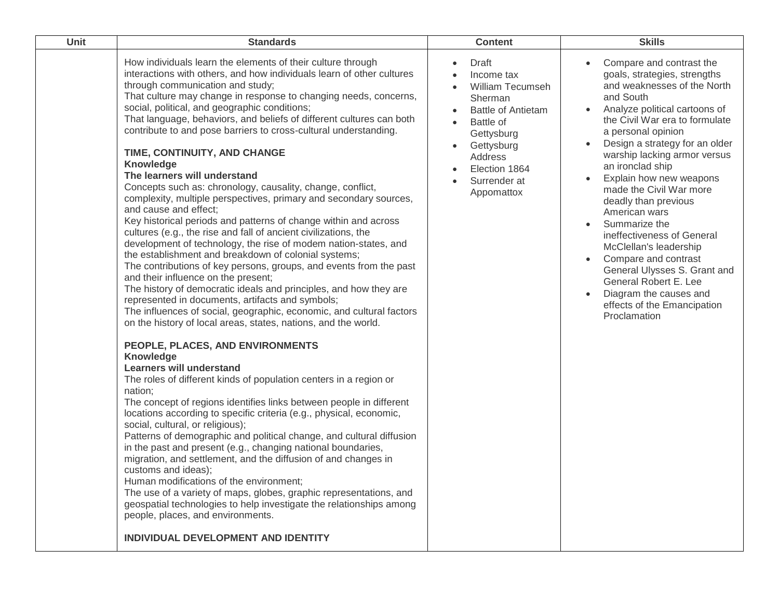| Unit | <b>Standards</b>                                                                                                                                                                                                                                                                                                                                                                                                                                                                                                                                                                                                                                                                                                                                                                                                                                                                                                                                                                                                                                                                                                                                                                                                                                                                                                                                                                                                                                                                                                                                                                                                                                                                                                                                                                                                                                                                                                                                                                                                                                                                                                                                                                               | <b>Content</b>                                                                                                                                                                                  | <b>Skills</b>                                                                                                                                                                                                                                                                                                                                                                                                                                                                                                                                                                                                                                                |
|------|------------------------------------------------------------------------------------------------------------------------------------------------------------------------------------------------------------------------------------------------------------------------------------------------------------------------------------------------------------------------------------------------------------------------------------------------------------------------------------------------------------------------------------------------------------------------------------------------------------------------------------------------------------------------------------------------------------------------------------------------------------------------------------------------------------------------------------------------------------------------------------------------------------------------------------------------------------------------------------------------------------------------------------------------------------------------------------------------------------------------------------------------------------------------------------------------------------------------------------------------------------------------------------------------------------------------------------------------------------------------------------------------------------------------------------------------------------------------------------------------------------------------------------------------------------------------------------------------------------------------------------------------------------------------------------------------------------------------------------------------------------------------------------------------------------------------------------------------------------------------------------------------------------------------------------------------------------------------------------------------------------------------------------------------------------------------------------------------------------------------------------------------------------------------------------------------|-------------------------------------------------------------------------------------------------------------------------------------------------------------------------------------------------|--------------------------------------------------------------------------------------------------------------------------------------------------------------------------------------------------------------------------------------------------------------------------------------------------------------------------------------------------------------------------------------------------------------------------------------------------------------------------------------------------------------------------------------------------------------------------------------------------------------------------------------------------------------|
|      | How individuals learn the elements of their culture through<br>interactions with others, and how individuals learn of other cultures<br>through communication and study;<br>That culture may change in response to changing needs, concerns,<br>social, political, and geographic conditions;<br>That language, behaviors, and beliefs of different cultures can both<br>contribute to and pose barriers to cross-cultural understanding.<br>TIME, CONTINUITY, AND CHANGE<br>Knowledge<br>The learners will understand<br>Concepts such as: chronology, causality, change, conflict,<br>complexity, multiple perspectives, primary and secondary sources,<br>and cause and effect;<br>Key historical periods and patterns of change within and across<br>cultures (e.g., the rise and fall of ancient civilizations, the<br>development of technology, the rise of modem nation-states, and<br>the establishment and breakdown of colonial systems;<br>The contributions of key persons, groups, and events from the past<br>and their influence on the present;<br>The history of democratic ideals and principles, and how they are<br>represented in documents, artifacts and symbols;<br>The influences of social, geographic, economic, and cultural factors<br>on the history of local areas, states, nations, and the world.<br>PEOPLE, PLACES, AND ENVIRONMENTS<br>Knowledge<br><b>Learners will understand</b><br>The roles of different kinds of population centers in a region or<br>nation;<br>The concept of regions identifies links between people in different<br>locations according to specific criteria (e.g., physical, economic,<br>social, cultural, or religious);<br>Patterns of demographic and political change, and cultural diffusion<br>in the past and present (e.g., changing national boundaries,<br>migration, and settlement, and the diffusion of and changes in<br>customs and ideas);<br>Human modifications of the environment;<br>The use of a variety of maps, globes, graphic representations, and<br>geospatial technologies to help investigate the relationships among<br>people, places, and environments.<br>INDIVIDUAL DEVELOPMENT AND IDENTITY | Draft<br>$\bullet$<br>Income tax<br>William Tecumseh<br>Sherman<br><b>Battle of Antietam</b><br>Battle of<br>Gettysburg<br>Gettysburg<br>Address<br>Election 1864<br>Surrender at<br>Appomattox | Compare and contrast the<br>goals, strategies, strengths<br>and weaknesses of the North<br>and South<br>Analyze political cartoons of<br>$\bullet$<br>the Civil War era to formulate<br>a personal opinion<br>Design a strategy for an older<br>$\bullet$<br>warship lacking armor versus<br>an ironclad ship<br>Explain how new weapons<br>$\bullet$<br>made the Civil War more<br>deadly than previous<br>American wars<br>Summarize the<br>ineffectiveness of General<br>McClellan's leadership<br>Compare and contrast<br>General Ulysses S. Grant and<br>General Robert E. Lee<br>Diagram the causes and<br>effects of the Emancipation<br>Proclamation |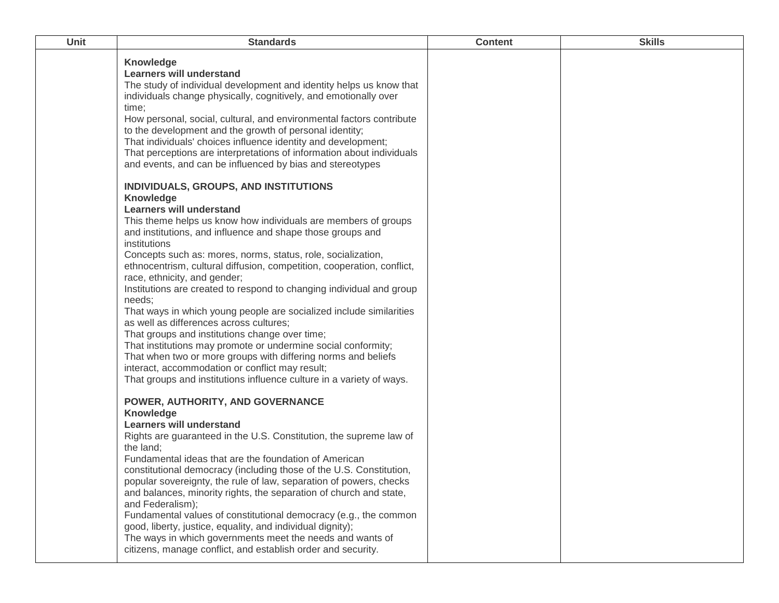| Unit | <b>Standards</b>                                                                                                                                                                                                                                                                                                                                                                                                                                                                                                                                                                                                                                                                                                                                                                                                                                                                                                                   | <b>Content</b> | <b>Skills</b> |
|------|------------------------------------------------------------------------------------------------------------------------------------------------------------------------------------------------------------------------------------------------------------------------------------------------------------------------------------------------------------------------------------------------------------------------------------------------------------------------------------------------------------------------------------------------------------------------------------------------------------------------------------------------------------------------------------------------------------------------------------------------------------------------------------------------------------------------------------------------------------------------------------------------------------------------------------|----------------|---------------|
|      | Knowledge<br><b>Learners will understand</b><br>The study of individual development and identity helps us know that<br>individuals change physically, cognitively, and emotionally over<br>time;<br>How personal, social, cultural, and environmental factors contribute<br>to the development and the growth of personal identity;<br>That individuals' choices influence identity and development;<br>That perceptions are interpretations of information about individuals<br>and events, and can be influenced by bias and stereotypes                                                                                                                                                                                                                                                                                                                                                                                         |                |               |
|      | INDIVIDUALS, GROUPS, AND INSTITUTIONS<br>Knowledge<br><b>Learners will understand</b><br>This theme helps us know how individuals are members of groups<br>and institutions, and influence and shape those groups and<br>institutions<br>Concepts such as: mores, norms, status, role, socialization,<br>ethnocentrism, cultural diffusion, competition, cooperation, conflict,<br>race, ethnicity, and gender;<br>Institutions are created to respond to changing individual and group<br>needs;<br>That ways in which young people are socialized include similarities<br>as well as differences across cultures;<br>That groups and institutions change over time;<br>That institutions may promote or undermine social conformity;<br>That when two or more groups with differing norms and beliefs<br>interact, accommodation or conflict may result;<br>That groups and institutions influence culture in a variety of ways. |                |               |
|      | POWER, AUTHORITY, AND GOVERNANCE<br>Knowledge<br><b>Learners will understand</b><br>Rights are guaranteed in the U.S. Constitution, the supreme law of<br>the land;<br>Fundamental ideas that are the foundation of American<br>constitutional democracy (including those of the U.S. Constitution,<br>popular sovereignty, the rule of law, separation of powers, checks<br>and balances, minority rights, the separation of church and state,<br>and Federalism);<br>Fundamental values of constitutional democracy (e.g., the common<br>good, liberty, justice, equality, and individual dignity);<br>The ways in which governments meet the needs and wants of<br>citizens, manage conflict, and establish order and security.                                                                                                                                                                                                 |                |               |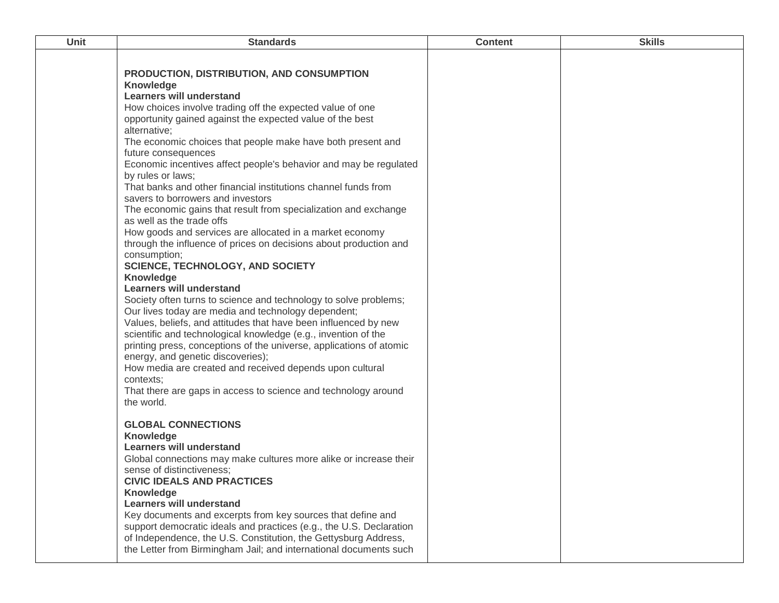| Unit | <b>Standards</b>                                                    | <b>Content</b> | <b>Skills</b> |
|------|---------------------------------------------------------------------|----------------|---------------|
|      |                                                                     |                |               |
|      | PRODUCTION, DISTRIBUTION, AND CONSUMPTION                           |                |               |
|      | <b>Knowledge</b>                                                    |                |               |
|      | <b>Learners will understand</b>                                     |                |               |
|      | How choices involve trading off the expected value of one           |                |               |
|      | opportunity gained against the expected value of the best           |                |               |
|      | alternative;                                                        |                |               |
|      | The economic choices that people make have both present and         |                |               |
|      | future consequences                                                 |                |               |
|      | Economic incentives affect people's behavior and may be regulated   |                |               |
|      | by rules or laws;                                                   |                |               |
|      | That banks and other financial institutions channel funds from      |                |               |
|      | savers to borrowers and investors                                   |                |               |
|      | The economic gains that result from specialization and exchange     |                |               |
|      | as well as the trade offs                                           |                |               |
|      | How goods and services are allocated in a market economy            |                |               |
|      | through the influence of prices on decisions about production and   |                |               |
|      | consumption;<br><b>SCIENCE, TECHNOLOGY, AND SOCIETY</b>             |                |               |
|      | Knowledge                                                           |                |               |
|      | <b>Learners will understand</b>                                     |                |               |
|      | Society often turns to science and technology to solve problems;    |                |               |
|      | Our lives today are media and technology dependent;                 |                |               |
|      | Values, beliefs, and attitudes that have been influenced by new     |                |               |
|      | scientific and technological knowledge (e.g., invention of the      |                |               |
|      | printing press, conceptions of the universe, applications of atomic |                |               |
|      | energy, and genetic discoveries);                                   |                |               |
|      | How media are created and received depends upon cultural            |                |               |
|      | contexts;                                                           |                |               |
|      | That there are gaps in access to science and technology around      |                |               |
|      | the world.                                                          |                |               |
|      | <b>GLOBAL CONNECTIONS</b>                                           |                |               |
|      | Knowledge                                                           |                |               |
|      | <b>Learners will understand</b>                                     |                |               |
|      | Global connections may make cultures more alike or increase their   |                |               |
|      | sense of distinctiveness;                                           |                |               |
|      | <b>CIVIC IDEALS AND PRACTICES</b>                                   |                |               |
|      | Knowledge                                                           |                |               |
|      | <b>Learners will understand</b>                                     |                |               |
|      | Key documents and excerpts from key sources that define and         |                |               |
|      | support democratic ideals and practices (e.g., the U.S. Declaration |                |               |
|      | of Independence, the U.S. Constitution, the Gettysburg Address,     |                |               |
|      | the Letter from Birmingham Jail; and international documents such   |                |               |
|      |                                                                     |                |               |